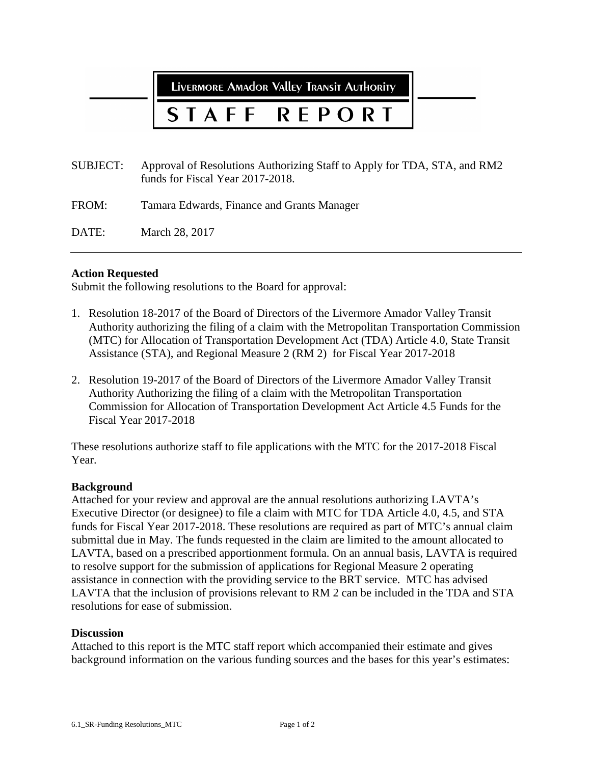LIVERMORE AMAdOR VAllEY TRANSIT AUTHORITY

# **REPORT**

SUBJECT: Approval of Resolutions Authorizing Staff to Apply for TDA, STA, and RM2 funds for Fiscal Year 2017-2018.

FROM: Tamara Edwards, Finance and Grants Manager

DATE: March 28, 2017

## **Action Requested**

Submit the following resolutions to the Board for approval:

- 1. Resolution 18-2017 of the Board of Directors of the Livermore Amador Valley Transit Authority authorizing the filing of a claim with the Metropolitan Transportation Commission (MTC) for Allocation of Transportation Development Act (TDA) Article 4.0, State Transit Assistance (STA), and Regional Measure 2 (RM 2) for Fiscal Year 2017-2018
- 2. Resolution 19-2017 of the Board of Directors of the Livermore Amador Valley Transit Authority Authorizing the filing of a claim with the Metropolitan Transportation Commission for Allocation of Transportation Development Act Article 4.5 Funds for the Fiscal Year 2017-2018

These resolutions authorize staff to file applications with the MTC for the 2017-2018 Fiscal Year.

## **Background**

Attached for your review and approval are the annual resolutions authorizing LAVTA's Executive Director (or designee) to file a claim with MTC for TDA Article 4.0, 4.5, and STA funds for Fiscal Year 2017-2018. These resolutions are required as part of MTC's annual claim submittal due in May. The funds requested in the claim are limited to the amount allocated to LAVTA, based on a prescribed apportionment formula. On an annual basis, LAVTA is required to resolve support for the submission of applications for Regional Measure 2 operating assistance in connection with the providing service to the BRT service. MTC has advised LAVTA that the inclusion of provisions relevant to RM 2 can be included in the TDA and STA resolutions for ease of submission.

## **Discussion**

Attached to this report is the MTC staff report which accompanied their estimate and gives background information on the various funding sources and the bases for this year's estimates: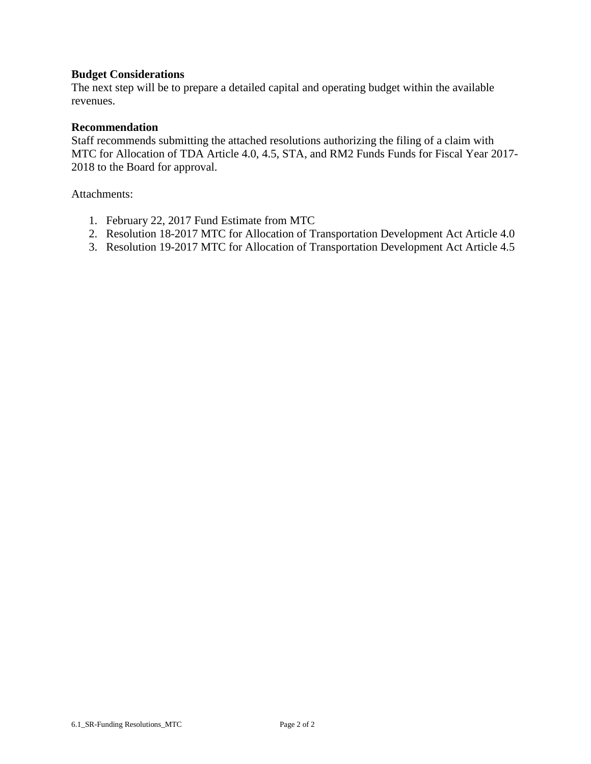## **Budget Considerations**

The next step will be to prepare a detailed capital and operating budget within the available revenues.

## **Recommendation**

Staff recommends submitting the attached resolutions authorizing the filing of a claim with MTC for Allocation of TDA Article 4.0, 4.5, STA, and RM2 Funds Funds for Fiscal Year 2017- 2018 to the Board for approval.

Attachments:

- 1. February 22, 2017 Fund Estimate from MTC
- 2. Resolution 18-2017 MTC for Allocation of Transportation Development Act Article 4.0
- 3. Resolution 19-2017 MTC for Allocation of Transportation Development Act Article 4.5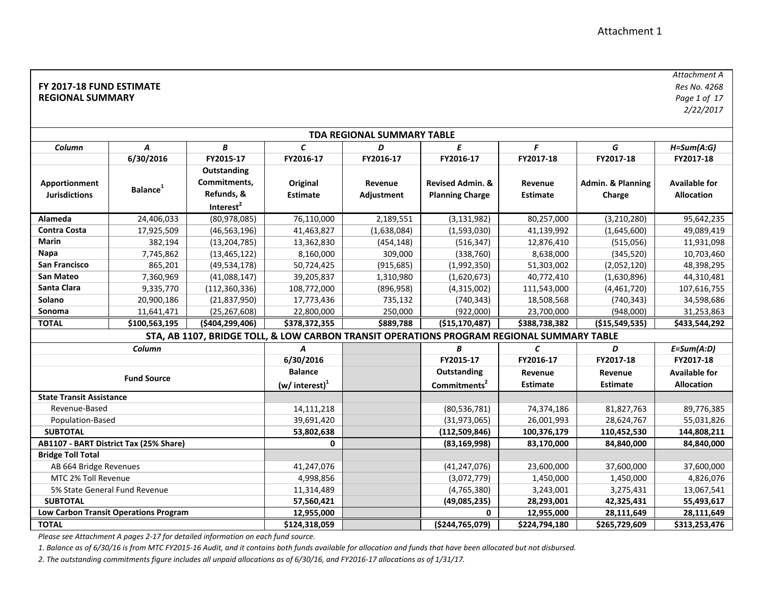#### **FY 2017‐18 FUND ESTIMATE REGIONAL SUMMARY**

*Attachment ARes No. 4268 Page 1 of 17*

*2/22/2017*

| <b>TDA REGIONAL SUMMARY TABLE</b>     |                                              |                                                                    |                             |                       |                                                                                           |                            |                             |                                           |  |
|---------------------------------------|----------------------------------------------|--------------------------------------------------------------------|-----------------------------|-----------------------|-------------------------------------------------------------------------------------------|----------------------------|-----------------------------|-------------------------------------------|--|
| Column                                | Α                                            | B                                                                  | $\epsilon$                  | D                     | Ε                                                                                         | F                          | G                           | $H = Sum(A:G)$                            |  |
|                                       | 6/30/2016                                    | FY2015-17                                                          | FY2016-17                   | FY2016-17             | FY2016-17                                                                                 | FY2017-18                  | FY2017-18                   | FY2017-18                                 |  |
| Apportionment<br><b>Jurisdictions</b> | <b>Balance</b>                               | Outstanding<br>Commitments,<br>Refunds, &<br>Interest <sup>2</sup> | Original<br><b>Estimate</b> | Revenue<br>Adjustment | <b>Revised Admin. &amp;</b><br><b>Planning Charge</b>                                     | Revenue<br><b>Estimate</b> | Admin. & Planning<br>Charge | <b>Available for</b><br><b>Allocation</b> |  |
| Alameda                               | 24,406,033                                   | (80,978,085)                                                       | 76,110,000                  | 2,189,551             | (3, 131, 982)                                                                             | 80,257,000                 | (3, 210, 280)               | 95,642,235                                |  |
| <b>Contra Costa</b>                   | 17,925,509                                   | (46, 563, 196)                                                     | 41,463,827                  | (1,638,084)           | (1,593,030)                                                                               | 41,139,992                 | (1,645,600)                 | 49,089,419                                |  |
| <b>Marin</b>                          | 382,194                                      | (13, 204, 785)                                                     | 13,362,830                  | (454, 148)            | (516, 347)                                                                                | 12,876,410                 | (515,056)                   | 11,931,098                                |  |
| Napa                                  | 7,745,862                                    | (13, 465, 122)                                                     | 8,160,000                   | 309,000               | (338, 760)                                                                                | 8,638,000                  | (345, 520)                  | 10,703,460                                |  |
| <b>San Francisco</b>                  | 865,201                                      | (49, 534, 178)                                                     | 50,724,425                  | (915, 685)            | (1,992,350)                                                                               | 51,303,002                 | (2,052,120)                 | 48,398,295                                |  |
| <b>San Mateo</b>                      | 7,360,969                                    | (41,088,147)                                                       | 39,205,837                  | 1,310,980             | (1,620,673)                                                                               | 40,772,410                 | (1,630,896)                 | 44,310,481                                |  |
| Santa Clara                           | 9,335,770                                    | (112, 360, 336)                                                    | 108,772,000                 | (896, 958)            | (4,315,002)                                                                               | 111,543,000                | (4,461,720)                 | 107,616,755                               |  |
| Solano                                | 20,900,186                                   | (21, 837, 950)                                                     | 17,773,436                  | 735,132               | (740, 343)                                                                                | 18,508,568                 | (740, 343)                  | 34,598,686                                |  |
| Sonoma                                | 11,641,471                                   | (25, 267, 608)                                                     | 22,800,000                  | 250,000               | (922,000)                                                                                 | 23,700,000                 | (948,000)                   | 31,253,863                                |  |
| <b>TOTAL</b>                          | \$100,563,195                                | (\$404,299,406)                                                    | \$378,372,355               | \$889,788             | (\$15,170,487)                                                                            | \$388,738,382              | ( \$15,549,535)             | \$433,544,292                             |  |
|                                       |                                              |                                                                    |                             |                       | STA, AB 1107, BRIDGE TOLL, & LOW CARBON TRANSIT OPERATIONS PROGRAM REGIONAL SUMMARY TABLE |                            |                             |                                           |  |
|                                       | Column                                       |                                                                    | A                           |                       | B                                                                                         | $\mathcal{C}$              | D                           | $E = Sum(A:D)$                            |  |
|                                       |                                              |                                                                    | 6/30/2016                   |                       | FY2015-17                                                                                 | FY2016-17                  | FY2017-18                   | FY2017-18                                 |  |
|                                       | <b>Fund Source</b>                           |                                                                    | <b>Balance</b>              |                       | Outstanding                                                                               | Revenue                    | Revenue                     | <b>Available for</b>                      |  |
|                                       |                                              |                                                                    | (w/ interest) $1$           |                       | Commitments <sup>2</sup>                                                                  | <b>Estimate</b>            | <b>Estimate</b>             | <b>Allocation</b>                         |  |
| <b>State Transit Assistance</b>       |                                              |                                                                    |                             |                       |                                                                                           |                            |                             |                                           |  |
| Revenue-Based                         |                                              |                                                                    | 14,111,218                  |                       | (80, 536, 781)                                                                            | 74,374,186                 | 81,827,763                  | 89,776,385                                |  |
| Population-Based                      |                                              |                                                                    | 39,691,420                  |                       | (31, 973, 065)                                                                            | 26,001,993                 | 28,624,767                  | 55,031,826                                |  |
| <b>SUBTOTAL</b>                       |                                              |                                                                    | 53,802,638                  |                       | (112,509,846)                                                                             | 100,376,179                | 110,452,530                 | 144,808,211                               |  |
|                                       | AB1107 - BART District Tax (25% Share)       |                                                                    | 0                           |                       | (83, 169, 998)                                                                            | 83,170,000                 | 84,840,000                  | 84,840,000                                |  |
| <b>Bridge Toll Total</b>              |                                              |                                                                    |                             |                       |                                                                                           |                            |                             |                                           |  |
| AB 664 Bridge Revenues                |                                              |                                                                    | 41,247,076                  |                       | (41, 247, 076)                                                                            | 23,600,000                 | 37,600,000                  | 37,600,000                                |  |
| MTC 2% Toll Revenue                   |                                              |                                                                    | 4,998,856                   |                       | (3,072,779)                                                                               | 1,450,000                  | 1,450,000                   | 4,826,076                                 |  |
|                                       | 5% State General Fund Revenue                |                                                                    | 11,314,489                  |                       | (4,765,380)                                                                               | 3,243,001                  | 3,275,431                   | 13,067,541                                |  |
| <b>SUBTOTAL</b>                       |                                              |                                                                    | 57,560,421                  |                       | (49,085,235)                                                                              | 28,293,001                 | 42,325,431                  | 55,493,617                                |  |
|                                       | <b>Low Carbon Transit Operations Program</b> |                                                                    | 12,955,000                  |                       | 0                                                                                         | 12,955,000                 | 28,111,649                  | 28,111,649                                |  |
| <b>TOTAL</b>                          |                                              |                                                                    | \$124,318,059               |                       | ( \$244, 765, 079)                                                                        | \$224,794,180              | \$265,729,609               | \$313,253,476                             |  |

*Please see Attachment A pages 2‐17 for detailed information on each fund source.*

*1. Balance as of 6/30/16 is from MTC FY2015‐16 Audit, and it contains both funds available for allocation and funds that have been allocated but not disbursed.*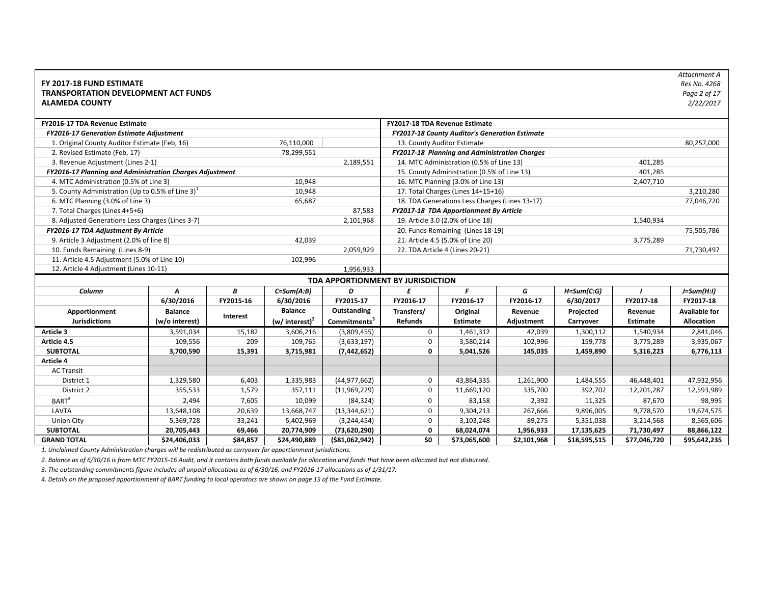| FY 2017-18 FUND ESTIMATE<br><b>TRANSPORTATION DEVELOPMENT ACT FUNDS</b><br><b>ALAMEDA COUNTY</b> |                |           |                              |                                   |                  |                                                |             |                |                 | Attachment A<br>Res No. 4268<br>Page 2 of 17<br>2/22/2017 |
|--------------------------------------------------------------------------------------------------|----------------|-----------|------------------------------|-----------------------------------|------------------|------------------------------------------------|-------------|----------------|-----------------|-----------------------------------------------------------|
| FY2016-17 TDA Revenue Estimate                                                                   |                |           |                              |                                   |                  | FY2017-18 TDA Revenue Estimate                 |             |                |                 |                                                           |
| <b>FY2016-17 Generation Estimate Adjustment</b>                                                  |                |           |                              |                                   |                  | FY2017-18 County Auditor's Generation Estimate |             |                |                 |                                                           |
| 1. Original County Auditor Estimate (Feb, 16)                                                    |                |           | 76,110,000                   |                                   |                  | 13. County Auditor Estimate                    |             |                |                 | 80,257,000                                                |
| 2. Revised Estimate (Feb, 17)                                                                    |                |           | 78,299,551                   |                                   |                  | FY2017-18 Planning and Administration Charges  |             |                |                 |                                                           |
| 3. Revenue Adjustment (Lines 2-1)                                                                |                |           |                              | 2,189,551                         |                  | 14. MTC Administration (0.5% of Line 13)       |             |                | 401,285         |                                                           |
| FY2016-17 Planning and Administration Charges Adjustment                                         |                |           |                              |                                   |                  | 15. County Administration (0.5% of Line 13)    |             |                | 401,285         |                                                           |
| 4. MTC Administration (0.5% of Line 3)                                                           |                |           | 10,948                       |                                   |                  | 16. MTC Planning (3.0% of Line 13)             |             |                | 2,407,710       |                                                           |
| 5. County Administration (Up to 0.5% of Line 3) $1$                                              |                |           | 10,948                       |                                   |                  | 17. Total Charges (Lines 14+15+16)             |             |                |                 | 3,210,280                                                 |
| 6. MTC Planning (3.0% of Line 3)                                                                 |                |           | 65,687                       |                                   |                  | 18. TDA Generations Less Charges (Lines 13-17) |             |                |                 | 77,046,720                                                |
| 7. Total Charges (Lines 4+5+6)                                                                   |                |           |                              | 87,583                            |                  | FY2017-18 TDA Apportionment By Article         |             |                |                 |                                                           |
| 8. Adjusted Generations Less Charges (Lines 3-7)                                                 |                |           |                              | 2,101,968                         |                  | 19. Article 3.0 (2.0% of Line 18)              |             |                | 1,540,934       |                                                           |
| FY2016-17 TDA Adjustment By Article                                                              |                |           |                              |                                   |                  | 20. Funds Remaining (Lines 18-19)              |             |                |                 | 75,505,786                                                |
| 9. Article 3 Adjustment (2.0% of line 8)                                                         |                |           | 42,039                       |                                   |                  | 21. Article 4.5 (5.0% of Line 20)              |             |                | 3,775,289       |                                                           |
| 10. Funds Remaining (Lines 8-9)                                                                  |                |           |                              | 2,059,929                         |                  | 22. TDA Article 4 (Lines 20-21)                |             |                |                 | 71,730,497                                                |
| 11. Article 4.5 Adjustment (5.0% of Line 10)                                                     |                |           | 102,996                      |                                   |                  |                                                |             |                |                 |                                                           |
| 12. Article 4 Adjustment (Lines 10-11)                                                           |                |           |                              | 1,956,933                         |                  |                                                |             |                |                 |                                                           |
|                                                                                                  |                |           |                              | TDA APPORTIONMENT BY JURISDICTION |                  |                                                |             |                |                 |                                                           |
| Column                                                                                           | A              | В         | $C = Sum(A:B)$               | D                                 | $\boldsymbol{E}$ | F                                              | G           | $H = Sum(C:G)$ |                 | $J=Sum(H:1)$                                              |
|                                                                                                  | 6/30/2016      | FY2015-16 | 6/30/2016                    | FY2015-17                         | FY2016-17        | FY2016-17                                      | FY2016-17   | 6/30/2017      | FY2017-18       | FY2017-18                                                 |
| Apportionment                                                                                    | <b>Balance</b> |           | <b>Balance</b>               | Outstanding                       | Transfers/       | Original                                       | Revenue     | Projected      | Revenue         | <b>Available for</b>                                      |
| <b>Jurisdictions</b>                                                                             | (w/o interest) | Interest  | $(w/$ interest) <sup>2</sup> | Commitments <sup>3</sup>          | <b>Refunds</b>   | <b>Estimate</b>                                | Adjustment  | Carryover      | <b>Estimate</b> | Allocation                                                |
| Article 3                                                                                        | 3,591,034      | 15,182    | 3,606,216                    | (3,809,455)                       | $\mathbf 0$      | 1,461,312                                      | 42,039      | 1,300,112      | 1,540,934       | 2,841,046                                                 |
| Article 4.5                                                                                      | 109,556        | 209       | 109,765                      | (3,633,197)                       | $\mathbf 0$      | 3,580,214                                      | 102,996     | 159,778        | 3,775,289       | 3,935,067                                                 |
| <b>SUBTOTAL</b>                                                                                  | 3,700,590      | 15,391    | 3,715,981                    | (7, 442, 652)                     | 0                | 5,041,526                                      | 145,035     | 1,459,890      | 5,316,223       | 6,776,113                                                 |
| Article 4                                                                                        |                |           |                              |                                   |                  |                                                |             |                |                 |                                                           |
| <b>AC Transit</b>                                                                                |                |           |                              |                                   |                  |                                                |             |                |                 |                                                           |
| District 1                                                                                       | 1,329,580      | 6,403     | 1,335,983                    | (44, 977, 662)                    | 0                | 43,864,335                                     | 1,261,900   | 1,484,555      | 46,448,401      | 47,932,956                                                |
| District 2                                                                                       | 355,533        | 1,579     | 357,111                      | (11,969,229)                      | $\mathbf 0$      | 11,669,120                                     | 335,700     | 392,702        | 12,201,287      | 12,593,989                                                |
| BART <sup>4</sup>                                                                                | 2,494          | 7,605     | 10,099                       | (84, 324)                         | 0                | 83,158                                         | 2,392       | 11,325         | 87,670          | 98,995                                                    |
| LAVTA                                                                                            | 13,648,108     | 20,639    | 13,668,747                   | (13, 344, 621)                    | 0                | 9,304,213                                      | 267,666     | 9,896,005      | 9,778,570       | 19,674,575                                                |
| <b>Union City</b>                                                                                | 5,369,728      | 33,241    | 5,402,969                    | (3, 244, 454)                     | 0                | 3,103,248                                      | 89,275      | 5,351,038      | 3,214,568       | 8,565,606                                                 |
| <b>SUBTOTAL</b>                                                                                  | 20,705,443     | 69,466    | 20,774,909                   | (73,620,290)                      | $\bf{0}$         | 68,024,074                                     | 1,956,933   | 17,135,625     | 71,730,497      | 88,866,122                                                |
| <b>GRAND TOTAL</b>                                                                               | \$24,406,033   | \$84,857  | \$24,490,889                 | ( \$81,062,942)                   | \$0              | \$73,065,600                                   | \$2,101,968 | \$18,595,515   | \$77,046,720    | \$95,642,235                                              |

*2. Balance as of 6/30/16 is from MTC FY2015‐16 Audit, and it contains both funds available for allocation and funds that have been allocated but not disbursed.*

*3. The outstanding commitments figure includes all unpaid allocations as of 6/30/16, and FY2016‐17 allocations as of 1/31/17.*

*4. Details on the proposed apportionment of BART funding to local operators are shown on page 15 of the Fund Estimate.*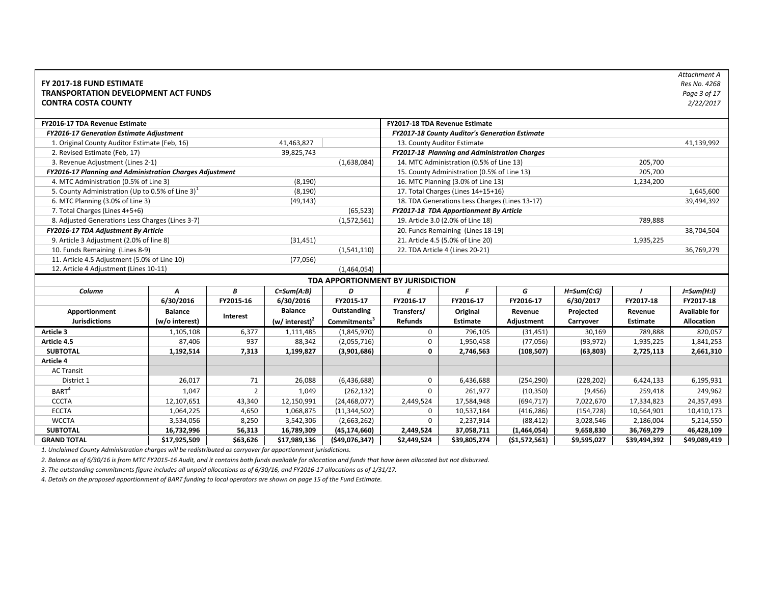| FY 2017-18 FUND ESTIMATE<br><b>TRANSPORTATION DEVELOPMENT ACT FUNDS</b><br><b>CONTRA COSTA COUNTY</b> |                |                |                            |                                   |                |                                                       |              |                |              | Attachment A<br>Res No. 4268<br>Page 3 of 17<br>2/22/2017 |
|-------------------------------------------------------------------------------------------------------|----------------|----------------|----------------------------|-----------------------------------|----------------|-------------------------------------------------------|--------------|----------------|--------------|-----------------------------------------------------------|
| FY2016-17 TDA Revenue Estimate                                                                        |                |                |                            |                                   |                | FY2017-18 TDA Revenue Estimate                        |              |                |              |                                                           |
| <b>FY2016-17 Generation Estimate Adjustment</b>                                                       |                |                |                            |                                   |                | <b>FY2017-18 County Auditor's Generation Estimate</b> |              |                |              |                                                           |
| 1. Original County Auditor Estimate (Feb, 16)                                                         |                |                | 41,463,827                 |                                   |                | 13. County Auditor Estimate                           |              |                |              | 41,139,992                                                |
| 2. Revised Estimate (Feb, 17)                                                                         |                |                | 39,825,743                 |                                   |                | FY2017-18 Planning and Administration Charges         |              |                |              |                                                           |
| 3. Revenue Adjustment (Lines 2-1)                                                                     |                |                |                            | (1,638,084)                       |                | 14. MTC Administration (0.5% of Line 13)              |              |                | 205,700      |                                                           |
| FY2016-17 Planning and Administration Charges Adjustment                                              |                |                |                            |                                   |                | 15. County Administration (0.5% of Line 13)           |              |                | 205,700      |                                                           |
| 4. MTC Administration (0.5% of Line 3)                                                                |                |                | (8, 190)                   |                                   |                | 16. MTC Planning (3.0% of Line 13)                    |              |                | 1,234,200    |                                                           |
| 5. County Administration (Up to 0.5% of Line 3) <sup>1</sup>                                          |                |                | (8, 190)                   |                                   |                | 17. Total Charges (Lines 14+15+16)                    |              |                |              | 1,645,600                                                 |
| 6. MTC Planning (3.0% of Line 3)                                                                      |                |                | (49, 143)                  |                                   |                | 18. TDA Generations Less Charges (Lines 13-17)        |              |                |              | 39,494,392                                                |
| 7. Total Charges (Lines 4+5+6)                                                                        |                |                |                            | (65, 523)                         |                | FY2017-18 TDA Apportionment By Article                |              |                |              |                                                           |
| 8. Adjusted Generations Less Charges (Lines 3-7)                                                      |                |                |                            | (1,572,561)                       |                | 19. Article 3.0 (2.0% of Line 18)                     |              |                | 789,888      |                                                           |
| FY2016-17 TDA Adjustment By Article                                                                   |                |                |                            |                                   |                | 20. Funds Remaining (Lines 18-19)                     |              |                |              | 38,704,504                                                |
| 9. Article 3 Adjustment (2.0% of line 8)                                                              |                |                | (31, 451)                  |                                   |                | 21. Article 4.5 (5.0% of Line 20)                     |              |                | 1,935,225    |                                                           |
| 10. Funds Remaining (Lines 8-9)                                                                       |                |                |                            | (1,541,110)                       |                | 22. TDA Article 4 (Lines 20-21)                       |              |                |              | 36,769,279                                                |
| 11. Article 4.5 Adjustment (5.0% of Line 10)                                                          |                |                | (77,056)                   |                                   |                |                                                       |              |                |              |                                                           |
| 12. Article 4 Adjustment (Lines 10-11)                                                                |                |                |                            | (1,464,054)                       |                |                                                       |              |                |              |                                                           |
|                                                                                                       |                |                |                            | TDA APPORTIONMENT BY JURISDICTION |                |                                                       |              |                |              |                                                           |
| Column                                                                                                | A              | В              | $C=Sum(A:B)$               | D                                 | E              | F                                                     | G            | $H = Sum(C:G)$ |              | $J=Sum(H:1)$                                              |
|                                                                                                       | 6/30/2016      | FY2015-16      | 6/30/2016                  | FY2015-17                         | FY2016-17      | FY2016-17                                             | FY2016-17    | 6/30/2017      | FY2017-18    | FY2017-18                                                 |
| Apportionment                                                                                         | <b>Balance</b> |                | <b>Balance</b>             | Outstanding                       | Transfers/     | Original                                              | Revenue      | Projected      | Revenue      | <b>Available for</b>                                      |
| <b>Jurisdictions</b>                                                                                  | (w/o interest) | Interest       | (w/ interest) <sup>2</sup> | Commitments <sup>3</sup>          | <b>Refunds</b> | <b>Estimate</b>                                       | Adjustment   | Carryover      | Estimate     | Allocation                                                |
| Article 3                                                                                             | 1,105,108      | 6,377          | 1,111,485                  | (1,845,970)                       | $\mathbf 0$    | 796,105                                               | (31, 451)    | 30,169         | 789,888      | 820,057                                                   |
| Article 4.5                                                                                           | 87,406         | 937            | 88,342                     | (2,055,716)                       | 0              | 1,950,458                                             | (77, 056)    | (93, 972)      | 1,935,225    | 1,841,253                                                 |
| <b>SUBTOTAL</b>                                                                                       | 1,192,514      | 7,313          | 1,199,827                  | (3,901,686)                       | $\mathbf 0$    | 2,746,563                                             | (108, 507)   | (63,803)       | 2,725,113    | 2,661,310                                                 |
| Article 4                                                                                             |                |                |                            |                                   |                |                                                       |              |                |              |                                                           |
| <b>AC Transit</b>                                                                                     |                |                |                            |                                   |                |                                                       |              |                |              |                                                           |
| District 1                                                                                            | 26,017         | 71             | 26,088                     | (6,436,688)                       | $\mathbf 0$    | 6,436,688                                             | (254, 290)   | (228, 202)     | 6,424,133    | 6,195,931                                                 |
| BART <sup>4</sup>                                                                                     | 1,047          | $\overline{2}$ | 1,049                      | (262, 132)                        | $\Omega$       | 261,977                                               | (10, 350)    | (9, 456)       | 259,418      | 249,962                                                   |
| <b>CCCTA</b>                                                                                          | 12,107,651     | 43,340         | 12,150,991                 | (24, 468, 077)                    | 2,449,524      | 17,584,948                                            | (694, 717)   | 7,022,670      | 17,334,823   | 24,357,493                                                |
| <b>ECCTA</b>                                                                                          | 1,064,225      | 4,650          | 1,068,875                  | (11, 344, 502)                    | $\mathbf 0$    | 10,537,184                                            | (416, 286)   | (154, 728)     | 10,564,901   | 10,410,173                                                |
| <b>WCCTA</b>                                                                                          | 3,534,056      | 8,250          | 3,542,306                  | (2,663,262)                       | $\mathbf 0$    | 2,237,914                                             | (88, 412)    | 3,028,546      | 2,186,004    | 5,214,550                                                 |
| <b>SUBTOTAL</b>                                                                                       | 16,732,996     | 56,313         | 16,789,309                 | (45, 174, 660)                    | 2,449,524      | 37,058,711                                            | (1,464,054)  | 9,658,830      | 36,769,279   | 46,428,109                                                |
| <b>GRAND TOTAL</b>                                                                                    | \$17,925,509   | \$63,626       | \$17,989,136               | (549,076,347)                     | \$2,449,524    | \$39,805,274                                          | (51,572,561) | \$9,595,027    | \$39,494,392 | \$49,089,419                                              |

*2. Balance as of 6/30/16 is from MTC FY2015‐16 Audit, and it contains both funds available for allocation and funds that have been allocated but not disbursed.*

*3. The outstanding commitments figure includes all unpaid allocations as of 6/30/16, and FY2016‐17 allocations as of 1/31/17.*

*4. Details on the proposed apportionment of BART funding to local operators are shown on page 15 of the Fund Estimate.*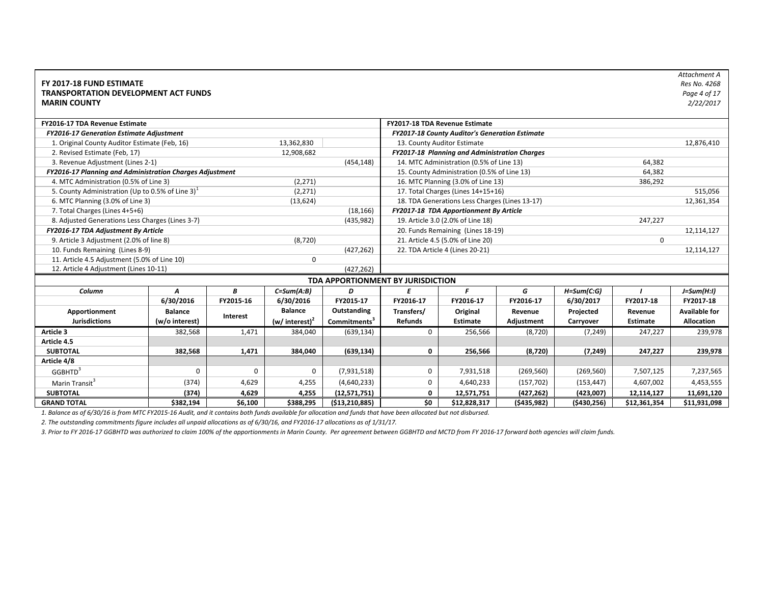| FY 2017-18 FUND ESTIMATE<br><b>TRANSPORTATION DEVELOPMENT ACT FUNDS</b><br><b>MARIN COUNTY</b> |                |           |                            |                                   |                |                                                |             |                |              | Attachment A<br>Res No. 4268<br>Page 4 of 17<br>2/22/2017 |
|------------------------------------------------------------------------------------------------|----------------|-----------|----------------------------|-----------------------------------|----------------|------------------------------------------------|-------------|----------------|--------------|-----------------------------------------------------------|
| FY2016-17 TDA Revenue Estimate                                                                 |                |           |                            |                                   |                | FY2017-18 TDA Revenue Estimate                 |             |                |              |                                                           |
| FY2016-17 Generation Estimate Adjustment                                                       |                |           |                            |                                   |                | FY2017-18 County Auditor's Generation Estimate |             |                |              |                                                           |
| 1. Original County Auditor Estimate (Feb, 16)                                                  |                |           | 13,362,830                 |                                   |                | 13. County Auditor Estimate                    |             |                |              | 12,876,410                                                |
| 2. Revised Estimate (Feb, 17)                                                                  |                |           | 12,908,682                 |                                   |                | FY2017-18 Planning and Administration Charges  |             |                |              |                                                           |
| 3. Revenue Adjustment (Lines 2-1)                                                              |                |           |                            | (454, 148)                        |                | 14. MTC Administration (0.5% of Line 13)       |             |                | 64,382       |                                                           |
| FY2016-17 Planning and Administration Charges Adjustment                                       |                |           |                            |                                   |                | 15. County Administration (0.5% of Line 13)    |             |                | 64,382       |                                                           |
| 4. MTC Administration (0.5% of Line 3)                                                         |                |           | (2, 271)                   |                                   |                | 16. MTC Planning (3.0% of Line 13)             |             |                | 386,292      |                                                           |
| 5. County Administration (Up to 0.5% of Line 3) $1$                                            |                |           | (2, 271)                   |                                   |                | 17. Total Charges (Lines 14+15+16)             |             |                |              | 515,056                                                   |
| 6. MTC Planning (3.0% of Line 3)                                                               |                |           | (13, 624)                  |                                   |                | 18. TDA Generations Less Charges (Lines 13-17) |             |                |              | 12,361,354                                                |
| 7. Total Charges (Lines 4+5+6)                                                                 |                |           |                            | (18, 166)                         |                | FY2017-18 TDA Apportionment By Article         |             |                |              |                                                           |
| 8. Adjusted Generations Less Charges (Lines 3-7)                                               |                |           |                            | (435, 982)                        |                | 19. Article 3.0 (2.0% of Line 18)              |             |                | 247,227      |                                                           |
| FY2016-17 TDA Adjustment By Article                                                            |                |           |                            |                                   |                | 20. Funds Remaining (Lines 18-19)              |             |                |              | 12,114,127                                                |
| 9. Article 3 Adjustment (2.0% of line 8)                                                       |                |           | (8, 720)                   |                                   |                | 21. Article 4.5 (5.0% of Line 20)              |             |                | $\mathbf 0$  |                                                           |
| 10. Funds Remaining (Lines 8-9)                                                                |                |           |                            | (427, 262)                        |                | 22. TDA Article 4 (Lines 20-21)                |             |                |              | 12,114,127                                                |
| 11. Article 4.5 Adjustment (5.0% of Line 10)                                                   |                |           | $\mathbf 0$                |                                   |                |                                                |             |                |              |                                                           |
| 12. Article 4 Adjustment (Lines 10-11)                                                         |                |           |                            | (427, 262)                        |                |                                                |             |                |              |                                                           |
|                                                                                                |                |           |                            | TDA APPORTIONMENT BY JURISDICTION |                |                                                |             |                |              |                                                           |
| Column                                                                                         | A              | B         | $C = Sum(A:B)$             | D                                 | E              | F                                              | G           | $H = Sum(C:G)$ |              | $J=Sum(H:1)$                                              |
|                                                                                                | 6/30/2016      | FY2015-16 | 6/30/2016                  | FY2015-17                         | FY2016-17      | FY2016-17                                      | FY2016-17   | 6/30/2017      | FY2017-18    | FY2017-18                                                 |
| Apportionment                                                                                  | <b>Balance</b> |           | <b>Balance</b>             | Outstanding                       | Transfers/     | Original                                       | Revenue     | Projected      | Revenue      | <b>Available for</b>                                      |
| <b>Jurisdictions</b>                                                                           | (w/o interest) | Interest  | (w/ interest) <sup>2</sup> | Commitments <sup>3</sup>          | <b>Refunds</b> | Estimate                                       | Adjustment  | Carryover      | Estimate     | <b>Allocation</b>                                         |
| Article 3                                                                                      | 382,568        | 1,471     | 384,040                    | (639, 134)                        | $\mathbf 0$    | 256,566                                        | (8, 720)    | (7, 249)       | 247,227      | 239,978                                                   |
| Article 4.5                                                                                    |                |           |                            |                                   |                |                                                |             |                |              |                                                           |
| <b>SUBTOTAL</b>                                                                                | 382,568        | 1,471     | 384,040                    | (639, 134)                        | $\mathbf{0}$   | 256,566                                        | (8,720)     | (7, 249)       | 247,227      | 239,978                                                   |
| Article 4/8                                                                                    |                |           |                            |                                   |                |                                                |             |                |              |                                                           |
| GGBHTD <sup>3</sup>                                                                            | $\Omega$       | $\Omega$  | 0                          | (7,931,518)                       | $\mathbf 0$    | 7,931,518                                      | (269, 560)  | (269, 560)     | 7,507,125    | 7,237,565                                                 |
| Marin Transit <sup>3</sup>                                                                     | (374)          | 4,629     | 4,255                      | (4,640,233)                       | $\mathbf 0$    | 4,640,233                                      | (157, 702)  | (153, 447)     | 4,607,002    | 4,453,555                                                 |
| <b>SUBTOTAL</b>                                                                                | (374)          | 4,629     | 4,255                      | (12,571,751)                      | 0              | 12,571,751                                     | (427, 262)  | (423,007)      | 12,114,127   | 11,691,120                                                |
| <b>GRAND TOTAL</b>                                                                             | \$382,194      | \$6,100   | \$388,295                  | ( \$13, 210, 885)                 | \$0            | \$12,828,317                                   | (5435, 982) | ( \$430, 256)  | \$12,361,354 | \$11,931,098                                              |

*2. The outstanding commitments figure includes all unpaid allocations as of 6/30/16, and FY2016‐17 allocations as of 1/31/17.*

*3. Prior to FY 2016‐17 GGBHTD was authorized to claim 100% of the apportionments in Marin County. Per agreement between GGBHTD and MCTD from FY 2016‐17 forward both agencies will claim funds.*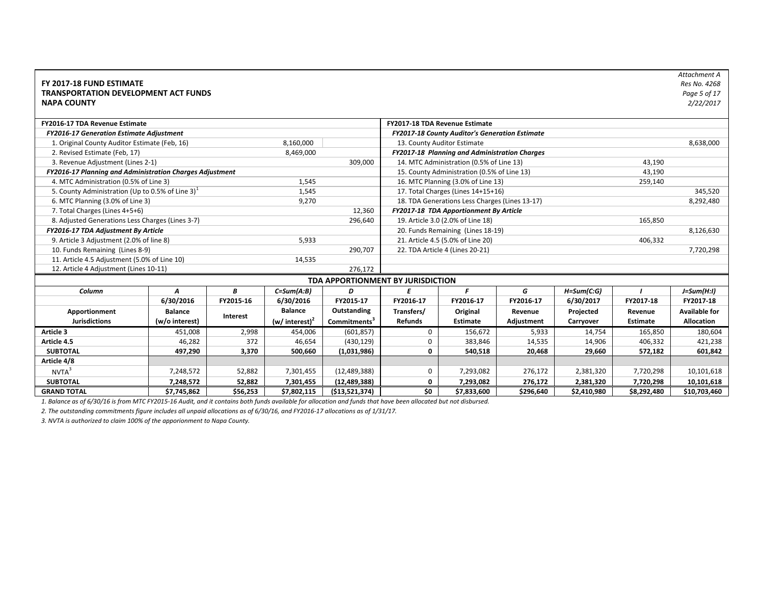| FY 2017-18 FUND ESTIMATE<br><b>TRANSPORTATION DEVELOPMENT ACT FUNDS</b> |                                                                                                       |           |                   |                                   |                                   |                                                       |            |                |                 | Attachment A<br>Res No. 4268<br>Page 5 of 17 |  |  |
|-------------------------------------------------------------------------|-------------------------------------------------------------------------------------------------------|-----------|-------------------|-----------------------------------|-----------------------------------|-------------------------------------------------------|------------|----------------|-----------------|----------------------------------------------|--|--|
| <b>NAPA COUNTY</b>                                                      |                                                                                                       |           |                   |                                   |                                   |                                                       |            |                |                 | 2/22/2017                                    |  |  |
| FY2016-17 TDA Revenue Estimate                                          |                                                                                                       |           |                   |                                   |                                   | FY2017-18 TDA Revenue Estimate                        |            |                |                 |                                              |  |  |
| <b>FY2016-17 Generation Estimate Adjustment</b>                         |                                                                                                       |           |                   |                                   |                                   | <b>FY2017-18 County Auditor's Generation Estimate</b> |            |                |                 |                                              |  |  |
| 1. Original County Auditor Estimate (Feb, 16)                           |                                                                                                       |           | 8,160,000         |                                   |                                   | 13. County Auditor Estimate                           |            |                |                 | 8,638,000                                    |  |  |
| 2. Revised Estimate (Feb, 17)                                           |                                                                                                       |           | 8,469,000         |                                   |                                   | FY2017-18 Planning and Administration Charges         |            |                |                 |                                              |  |  |
| 3. Revenue Adjustment (Lines 2-1)                                       |                                                                                                       |           |                   | 309,000                           |                                   | 14. MTC Administration (0.5% of Line 13)              |            |                | 43,190          |                                              |  |  |
| FY2016-17 Planning and Administration Charges Adjustment                |                                                                                                       |           |                   |                                   |                                   | 15. County Administration (0.5% of Line 13)           |            |                | 43,190          |                                              |  |  |
| 4. MTC Administration (0.5% of Line 3)                                  |                                                                                                       |           | 1,545             |                                   |                                   | 16. MTC Planning (3.0% of Line 13)                    |            |                | 259,140         |                                              |  |  |
| 5. County Administration (Up to 0.5% of Line 3) $1$                     |                                                                                                       |           | 1,545             |                                   |                                   | 17. Total Charges (Lines 14+15+16)                    |            |                |                 | 345,520                                      |  |  |
| 6. MTC Planning (3.0% of Line 3)                                        |                                                                                                       |           | 9,270             |                                   |                                   | 18. TDA Generations Less Charges (Lines 13-17)        |            |                |                 | 8,292,480                                    |  |  |
| 7. Total Charges (Lines 4+5+6)                                          |                                                                                                       |           |                   | 12,360                            |                                   | FY2017-18 TDA Apportionment By Article                |            |                |                 |                                              |  |  |
|                                                                         |                                                                                                       |           |                   | 296,640                           | 19. Article 3.0 (2.0% of Line 18) |                                                       |            |                |                 |                                              |  |  |
| FY2016-17 TDA Adjustment By Article                                     |                                                                                                       |           |                   |                                   | 20. Funds Remaining (Lines 18-19) | 8,126,630                                             |            |                |                 |                                              |  |  |
|                                                                         | 8. Adjusted Generations Less Charges (Lines 3-7)<br>9. Article 3 Adjustment (2.0% of line 8)<br>5,933 |           |                   |                                   |                                   | 21. Article 4.5 (5.0% of Line 20)<br>406,332          |            |                |                 |                                              |  |  |
| 10. Funds Remaining (Lines 8-9)                                         |                                                                                                       |           |                   | 290,707                           | 22. TDA Article 4 (Lines 20-21)   |                                                       | 7,720,298  |                |                 |                                              |  |  |
| 11. Article 4.5 Adjustment (5.0% of Line 10)                            |                                                                                                       |           | 14,535            |                                   |                                   |                                                       |            |                |                 |                                              |  |  |
| 12. Article 4 Adjustment (Lines 10-11)                                  |                                                                                                       |           |                   | 276,172                           |                                   |                                                       |            |                |                 |                                              |  |  |
|                                                                         |                                                                                                       |           |                   | TDA APPORTIONMENT BY JURISDICTION |                                   |                                                       |            |                |                 |                                              |  |  |
| Column                                                                  | A                                                                                                     | B         | $C = Sum(A:B)$    | D                                 | E                                 | F                                                     | G          | $H = Sum(C:G)$ |                 | $J=Sum(H:1)$                                 |  |  |
|                                                                         | 6/30/2016                                                                                             | FY2015-16 | 6/30/2016         | FY2015-17                         | FY2016-17                         | FY2016-17                                             | FY2016-17  | 6/30/2017      | FY2017-18       | FY2017-18                                    |  |  |
| Apportionment                                                           | <b>Balance</b>                                                                                        |           | <b>Balance</b>    | Outstanding                       | Transfers/                        | Original                                              | Revenue    | Projected      | Revenue         | <b>Available for</b>                         |  |  |
| <b>Jurisdictions</b>                                                    | (w/o interest)                                                                                        | Interest  | (w/ interest) $2$ | Commitments <sup>3</sup>          | <b>Refunds</b>                    | <b>Estimate</b>                                       | Adjustment | Carryover      | <b>Estimate</b> | Allocation                                   |  |  |
| Article 3                                                               | 451,008                                                                                               | 2,998     | 454,006           | (601, 857)                        | 0                                 | 156,672                                               | 5,933      | 14,754         | 165,850         | 180,604                                      |  |  |
| Article 4.5                                                             | 46,282                                                                                                | 372       | 46,654            | (430, 129)                        | 0                                 | 383,846                                               | 14,535     | 14,906         | 406,332         | 421,238                                      |  |  |
| <b>SUBTOTAL</b>                                                         | 497,290                                                                                               | 3,370     | 500,660           | (1,031,986)                       | $\mathbf 0$                       | 540,518                                               | 20,468     | 29,660         | 572,182         | 601,842                                      |  |  |
| Article 4/8                                                             |                                                                                                       |           |                   |                                   |                                   |                                                       |            |                |                 |                                              |  |  |
| NVTA <sup>3</sup>                                                       | 7,248,572                                                                                             | 52,882    | 7,301,455         | (12, 489, 388)                    | 0                                 | 7,293,082                                             | 276,172    | 2,381,320      | 7,720,298       | 10,101,618                                   |  |  |
| <b>SUBTOTAL</b>                                                         | 7,248,572                                                                                             | 52,882    | 7,301,455         | (12, 489, 388)                    | 0                                 | 7,293,082                                             | 276,172    | 2,381,320      | 7,720,298       | 10,101,618                                   |  |  |
| <b>GRAND TOTAL</b>                                                      | \$7,745,862                                                                                           | \$56,253  | \$7,802,115       | ( \$13,521,374)                   | \$0                               | \$7,833,600                                           | \$296,640  | \$2,410,980    | \$8,292,480     | \$10,703,460                                 |  |  |

*2. The outstanding commitments figure includes all unpaid allocations as of 6/30/16, and FY2016‐17 allocations as of 1/31/17.*

*3. NVTA is authorized to claim 100% of the apporionment to Napa County.*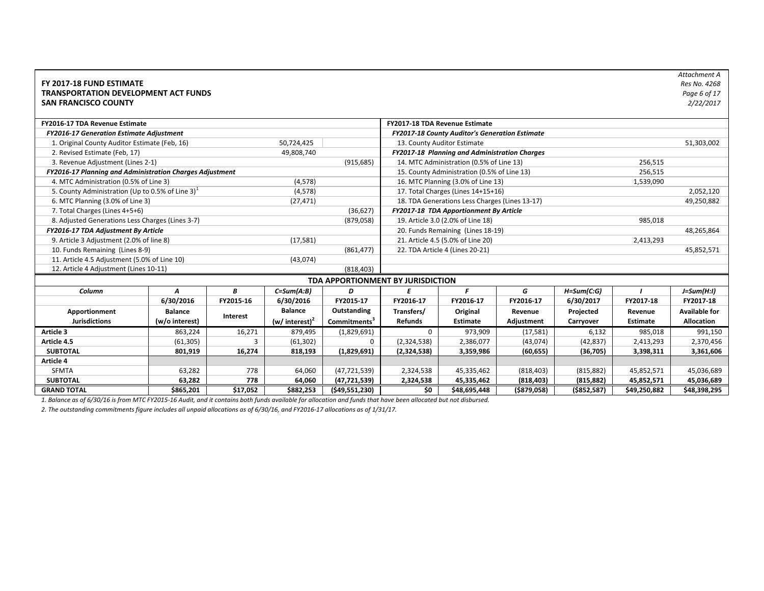| FY 2017-18 FUND ESTIMATE<br><b>TRANSPORTATION DEVELOPMENT ACT FUNDS</b><br><b>SAN FRANCISCO COUNTY</b> |                |           |                            |                                   |                                                     |                                                       |              |                |              | Attachment A<br>Res No. 4268<br>Page 6 of 17<br>2/22/2017 |  |  |
|--------------------------------------------------------------------------------------------------------|----------------|-----------|----------------------------|-----------------------------------|-----------------------------------------------------|-------------------------------------------------------|--------------|----------------|--------------|-----------------------------------------------------------|--|--|
| FY2016-17 TDA Revenue Estimate                                                                         |                |           |                            |                                   |                                                     | FY2017-18 TDA Revenue Estimate                        |              |                |              |                                                           |  |  |
| <b>FY2016-17 Generation Estimate Adjustment</b>                                                        |                |           |                            |                                   |                                                     | <b>FY2017-18 County Auditor's Generation Estimate</b> |              |                |              |                                                           |  |  |
| 1. Original County Auditor Estimate (Feb, 16)                                                          |                |           | 50,724,425                 |                                   | 13. County Auditor Estimate                         | 51,303,002                                            |              |                |              |                                                           |  |  |
| 2. Revised Estimate (Feb, 17)                                                                          |                |           | 49,808,740                 |                                   |                                                     | FY2017-18 Planning and Administration Charges         |              |                |              |                                                           |  |  |
| 3. Revenue Adjustment (Lines 2-1)                                                                      |                |           |                            | (915, 685)                        | 14. MTC Administration (0.5% of Line 13)<br>256,515 |                                                       |              |                |              |                                                           |  |  |
| FY2016-17 Planning and Administration Charges Adjustment                                               |                |           |                            |                                   | 15. County Administration (0.5% of Line 13)         | 256,515                                               |              |                |              |                                                           |  |  |
| 4. MTC Administration (0.5% of Line 3)                                                                 |                |           | (4, 578)                   |                                   |                                                     | 16. MTC Planning (3.0% of Line 13)                    | 1,539,090    |                |              |                                                           |  |  |
| 5. County Administration (Up to 0.5% of Line 3) $1$                                                    |                |           | (4, 578)                   |                                   |                                                     | 17. Total Charges (Lines 14+15+16)                    |              |                |              | 2,052,120                                                 |  |  |
| 6. MTC Planning (3.0% of Line 3)                                                                       |                |           | (27, 471)                  |                                   |                                                     | 18. TDA Generations Less Charges (Lines 13-17)        |              |                |              | 49,250,882                                                |  |  |
| 7. Total Charges (Lines 4+5+6)                                                                         | (36, 627)      |           |                            |                                   |                                                     | FY2017-18 TDA Apportionment By Article                |              |                |              |                                                           |  |  |
| 8. Adjusted Generations Less Charges (Lines 3-7)                                                       |                |           |                            | (879, 058)                        |                                                     | 19. Article 3.0 (2.0% of Line 18)                     |              |                | 985,018      |                                                           |  |  |
| FY2016-17 TDA Adjustment By Article                                                                    |                |           |                            |                                   |                                                     | 20. Funds Remaining (Lines 18-19)                     |              |                |              | 48,265,864                                                |  |  |
| 9. Article 3 Adjustment (2.0% of line 8)                                                               |                |           | (17, 581)                  |                                   |                                                     | 21. Article 4.5 (5.0% of Line 20)                     |              |                | 2,413,293    |                                                           |  |  |
| 10. Funds Remaining (Lines 8-9)                                                                        |                |           |                            | (861, 477)                        |                                                     | 22. TDA Article 4 (Lines 20-21)                       |              |                |              | 45,852,571                                                |  |  |
| 11. Article 4.5 Adjustment (5.0% of Line 10)                                                           |                |           | (43,074)                   |                                   |                                                     |                                                       |              |                |              |                                                           |  |  |
| 12. Article 4 Adjustment (Lines 10-11)                                                                 |                |           |                            | (818, 403)                        |                                                     |                                                       |              |                |              |                                                           |  |  |
|                                                                                                        |                |           |                            | TDA APPORTIONMENT BY JURISDICTION |                                                     |                                                       |              |                |              |                                                           |  |  |
| Column                                                                                                 | A              | В         | $C = Sum(A:B)$             | D                                 | E                                                   | F                                                     | G            | $H = Sum(C:G)$ |              | $J=Sum(H:1)$                                              |  |  |
|                                                                                                        | 6/30/2016      | FY2015-16 | 6/30/2016                  | FY2015-17                         | FY2016-17                                           | FY2016-17                                             | FY2016-17    | 6/30/2017      | FY2017-18    | FY2017-18                                                 |  |  |
| Apportionment                                                                                          | <b>Balance</b> |           | <b>Balance</b>             | Outstanding                       | Transfers/                                          | Original                                              | Revenue      | Projected      | Revenue      | <b>Available for</b>                                      |  |  |
| <b>Jurisdictions</b>                                                                                   | (w/o interest) | Interest  | (w/ interest) <sup>2</sup> | Commitments <sup>3</sup>          | <b>Refunds</b>                                      | <b>Estimate</b>                                       | Adjustment   | Carryover      | Estimate     | <b>Allocation</b>                                         |  |  |
| Article 3                                                                                              | 863,224        | 16,271    | 879,495                    | (1,829,691)                       | $\mathbf 0$                                         | 973,909                                               | (17, 581)    | 6,132          | 985,018      | 991,150                                                   |  |  |
| Article 4.5                                                                                            | (61, 305)      | 3         | (61, 302)                  | $\Omega$                          | (2,324,538)                                         | 2,386,077                                             | (43,074)     | (42, 837)      | 2,413,293    | 2,370,456                                                 |  |  |
| <b>SUBTOTAL</b>                                                                                        | 801,919        | 16,274    | 818,193                    | (1,829,691)                       | (2,324,538)                                         | 3,359,986                                             | (60, 655)    | (36, 705)      | 3,398,311    | 3,361,606                                                 |  |  |
| Article 4                                                                                              |                |           |                            |                                   |                                                     |                                                       |              |                |              |                                                           |  |  |
| <b>SFMTA</b>                                                                                           | 63,282         | 778       | 64,060                     | (47, 721, 539)                    | 2,324,538                                           | 45,335,462                                            | (818, 403)   | (815, 882)     | 45,852,571   | 45,036,689                                                |  |  |
| <b>SUBTOTAL</b>                                                                                        | 63,282         | 778       | 64,060                     | (47, 721, 539)                    | 2,324,538                                           | 45,335,462                                            | (818, 403)   | (815, 882)     | 45,852,571   | 45,036,689                                                |  |  |
| <b>GRAND TOTAL</b>                                                                                     | \$865,201      | \$17,052  | \$882,253                  | (\$49,551,230)                    | \$0                                                 | \$48,695,448                                          | ( \$879,058) | (\$852,587)    | \$49,250,882 | \$48,398,295                                              |  |  |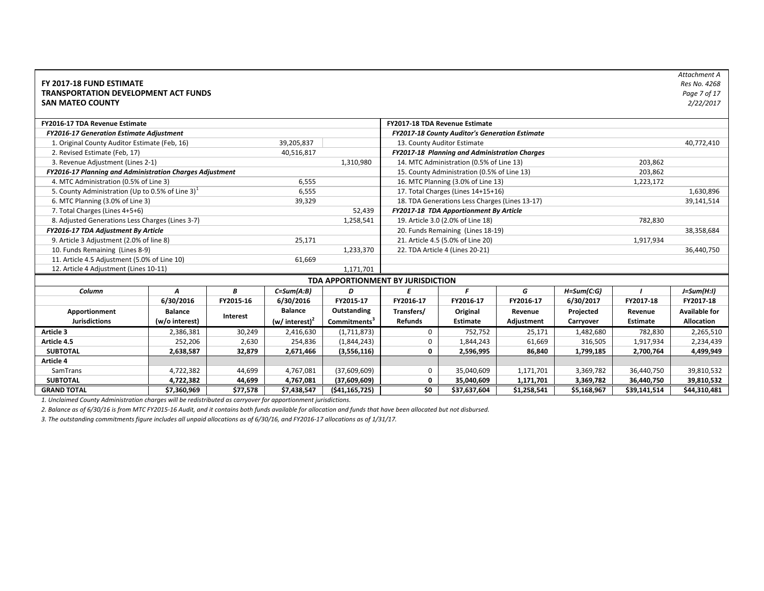| FY 2017-18 FUND ESTIMATE<br><b>TRANSPORTATION DEVELOPMENT ACT FUNDS</b><br><b>SAN MATEO COUNTY</b> |                |           |                            |                                   |                |                                                |             |                |                 | Attachment A<br>Res No. 4268<br>Page 7 of 17<br>2/22/2017 |  |
|----------------------------------------------------------------------------------------------------|----------------|-----------|----------------------------|-----------------------------------|----------------|------------------------------------------------|-------------|----------------|-----------------|-----------------------------------------------------------|--|
| FY2016-17 TDA Revenue Estimate                                                                     |                |           |                            |                                   |                | FY2017-18 TDA Revenue Estimate                 |             |                |                 |                                                           |  |
| <b>FY2016-17 Generation Estimate Adjustment</b>                                                    |                |           |                            |                                   |                | FY2017-18 County Auditor's Generation Estimate |             |                |                 |                                                           |  |
| 1. Original County Auditor Estimate (Feb, 16)                                                      |                |           | 39,205,837                 |                                   |                | 13. County Auditor Estimate                    |             |                |                 | 40,772,410                                                |  |
| 2. Revised Estimate (Feb, 17)                                                                      |                |           | 40,516,817                 |                                   |                | FY2017-18 Planning and Administration Charges  |             |                |                 |                                                           |  |
| 3. Revenue Adjustment (Lines 2-1)                                                                  |                |           |                            | 1,310,980                         |                | 14. MTC Administration (0.5% of Line 13)       |             |                | 203,862         |                                                           |  |
| FY2016-17 Planning and Administration Charges Adjustment                                           |                |           |                            |                                   |                | 15. County Administration (0.5% of Line 13)    |             |                | 203,862         |                                                           |  |
| 4. MTC Administration (0.5% of Line 3)                                                             |                |           | 6,555                      |                                   |                | 16. MTC Planning (3.0% of Line 13)             |             |                | 1,223,172       |                                                           |  |
| 5. County Administration (Up to 0.5% of Line 3) <sup>1</sup>                                       |                |           | 6,555                      |                                   |                | 17. Total Charges (Lines 14+15+16)             |             |                |                 | 1,630,896                                                 |  |
| 6. MTC Planning (3.0% of Line 3)                                                                   |                |           | 39,329                     |                                   |                | 18. TDA Generations Less Charges (Lines 13-17) |             |                |                 | 39,141,514                                                |  |
| 7. Total Charges (Lines 4+5+6)                                                                     |                |           |                            | 52,439                            |                | FY2017-18 TDA Apportionment By Article         |             |                |                 |                                                           |  |
| 8. Adjusted Generations Less Charges (Lines 3-7)                                                   |                |           |                            | 1,258,541                         |                | 782,830<br>19. Article 3.0 (2.0% of Line 18)   |             |                |                 |                                                           |  |
| FY2016-17 TDA Adjustment By Article                                                                |                |           |                            |                                   |                | 20. Funds Remaining (Lines 18-19)              |             |                |                 | 38,358,684                                                |  |
| 9. Article 3 Adjustment (2.0% of line 8)                                                           |                |           | 25,171                     |                                   |                | 21. Article 4.5 (5.0% of Line 20)              |             |                | 1,917,934       |                                                           |  |
| 10. Funds Remaining (Lines 8-9)                                                                    |                |           |                            | 1,233,370                         |                | 22. TDA Article 4 (Lines 20-21)                |             | 36,440,750     |                 |                                                           |  |
| 11. Article 4.5 Adjustment (5.0% of Line 10)                                                       |                |           | 61,669                     |                                   |                |                                                |             |                |                 |                                                           |  |
| 12. Article 4 Adjustment (Lines 10-11)                                                             |                |           |                            | 1,171,701                         |                |                                                |             |                |                 |                                                           |  |
|                                                                                                    |                |           |                            | TDA APPORTIONMENT BY JURISDICTION |                |                                                |             |                |                 |                                                           |  |
| Column                                                                                             | A              | B         | $C=Sum(A:B)$               | D                                 | E              | F                                              | G           | $H = Sum(C:G)$ |                 | $J=Sum(H:1)$                                              |  |
|                                                                                                    | 6/30/2016      | FY2015-16 | 6/30/2016                  | FY2015-17                         | FY2016-17      | FY2016-17                                      | FY2016-17   | 6/30/2017      | FY2017-18       | FY2017-18                                                 |  |
| Apportionment                                                                                      | <b>Balance</b> |           | <b>Balance</b>             | Outstanding                       | Transfers/     | Original                                       | Revenue     | Projected      | Revenue         | <b>Available for</b>                                      |  |
| <b>Jurisdictions</b>                                                                               | (w/o interest) | Interest  | (w/ interest) <sup>2</sup> | Commitments <sup>3</sup>          | <b>Refunds</b> | <b>Estimate</b>                                | Adjustment  | Carryover      | <b>Estimate</b> | <b>Allocation</b>                                         |  |
| Article 3                                                                                          | 2,386,381      | 30,249    | 2,416,630                  | (1,711,873)                       | 0              | 752,752                                        | 25,171      | 1,482,680      | 782,830         | 2,265,510                                                 |  |
| Article 4.5                                                                                        | 252,206        | 2,630     | 254,836                    | (1,844,243)                       | 0              | 1,844,243                                      | 61,669      | 316,505        | 1,917,934       | 2,234,439                                                 |  |
| <b>SUBTOTAL</b>                                                                                    | 2,638,587      | 32,879    | 2,671,466                  | (3,556,116)                       | 0              | 2,596,995                                      | 86,840      | 1,799,185      | 2,700,764       | 4,499,949                                                 |  |
| Article 4                                                                                          |                |           |                            |                                   |                |                                                |             |                |                 |                                                           |  |
| SamTrans                                                                                           | 4,722,382      | 44,699    | 4,767,081                  | (37,609,609)                      | 0              | 35,040,609                                     | 1,171,701   | 3,369,782      | 36,440,750      | 39,810,532                                                |  |
| <b>SUBTOTAL</b>                                                                                    | 4,722,382      | 44,699    | 4,767,081                  | (37,609,609)                      | $\mathbf 0$    | 35,040,609                                     | 1,171,701   | 3,369,782      | 36,440,750      | 39,810,532                                                |  |
| <b>GRAND TOTAL</b>                                                                                 | \$7,360,969    | \$77,578  | \$7,438,547                | (541, 165, 725)                   | \$0            | \$37,637,604                                   | \$1,258,541 | \$5,168,967    | \$39,141,514    | \$44,310,481                                              |  |

*2. Balance as of 6/30/16 is from MTC FY2015‐16 Audit, and it contains both funds available for allocation and funds that have been allocated but not disbursed.*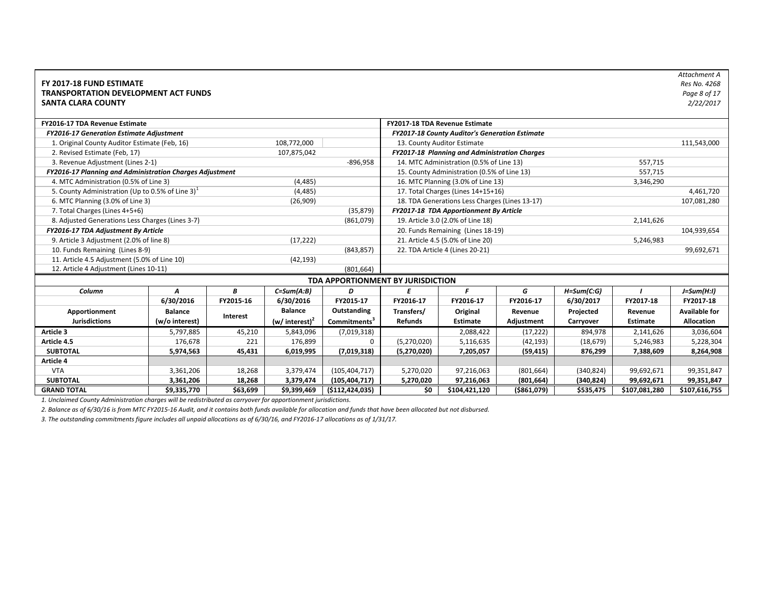| FY 2017-18 FUND ESTIMATE<br><b>TRANSPORTATION DEVELOPMENT ACT FUNDS</b> |                |           |                   |                                   |                                   |                                                |              |                |               | Attachment A<br>Res No. 4268<br>Page 8 of 17 |
|-------------------------------------------------------------------------|----------------|-----------|-------------------|-----------------------------------|-----------------------------------|------------------------------------------------|--------------|----------------|---------------|----------------------------------------------|
| <b>SANTA CLARA COUNTY</b>                                               |                |           |                   |                                   |                                   |                                                |              |                |               | 2/22/2017                                    |
| FY2016-17 TDA Revenue Estimate                                          |                |           |                   |                                   |                                   | FY2017-18 TDA Revenue Estimate                 |              |                |               |                                              |
| <b>FY2016-17 Generation Estimate Adjustment</b>                         |                |           |                   |                                   |                                   | FY2017-18 County Auditor's Generation Estimate |              |                |               |                                              |
| 1. Original County Auditor Estimate (Feb, 16)                           |                |           | 108,772,000       |                                   |                                   | 13. County Auditor Estimate                    |              |                |               | 111,543,000                                  |
| 2. Revised Estimate (Feb, 17)                                           |                |           | 107,875,042       |                                   |                                   | FY2017-18 Planning and Administration Charges  |              |                |               |                                              |
| 3. Revenue Adjustment (Lines 2-1)                                       |                |           |                   | $-896,958$                        |                                   | 14. MTC Administration (0.5% of Line 13)       |              |                | 557,715       |                                              |
| FY2016-17 Planning and Administration Charges Adjustment                |                |           |                   |                                   |                                   | 15. County Administration (0.5% of Line 13)    |              |                | 557,715       |                                              |
| 4. MTC Administration (0.5% of Line 3)                                  |                |           | (4, 485)          |                                   |                                   | 16. MTC Planning (3.0% of Line 13)             |              |                | 3,346,290     |                                              |
| 5. County Administration (Up to 0.5% of Line 3) <sup>1</sup>            |                |           | (4, 485)          |                                   |                                   | 17. Total Charges (Lines 14+15+16)             |              |                |               | 4,461,720                                    |
| 6. MTC Planning (3.0% of Line 3)                                        |                |           | (26,909)          |                                   |                                   | 18. TDA Generations Less Charges (Lines 13-17) |              |                |               | 107,081,280                                  |
| 7. Total Charges (Lines 4+5+6)                                          |                |           |                   | (35, 879)                         |                                   | FY2017-18 TDA Apportionment By Article         |              |                |               |                                              |
| 8. Adjusted Generations Less Charges (Lines 3-7)                        |                |           |                   | (861,079)                         |                                   | 19. Article 3.0 (2.0% of Line 18)              |              |                | 2,141,626     |                                              |
| FY2016-17 TDA Adjustment By Article                                     |                |           |                   |                                   | 20. Funds Remaining (Lines 18-19) | 104,939,654                                    |              |                |               |                                              |
| 9. Article 3 Adjustment (2.0% of line 8)                                |                |           | (17, 222)         |                                   |                                   | 21. Article 4.5 (5.0% of Line 20)              |              |                | 5,246,983     |                                              |
| 10. Funds Remaining (Lines 8-9)                                         |                |           |                   | (843, 857)                        |                                   | 22. TDA Article 4 (Lines 20-21)                |              |                |               | 99,692,671                                   |
| 11. Article 4.5 Adjustment (5.0% of Line 10)                            |                |           | (42, 193)         |                                   |                                   |                                                |              |                |               |                                              |
| 12. Article 4 Adjustment (Lines 10-11)                                  |                |           |                   | (801, 664)                        |                                   |                                                |              |                |               |                                              |
|                                                                         |                |           |                   | TDA APPORTIONMENT BY JURISDICTION |                                   |                                                |              |                |               |                                              |
| Column                                                                  | $\overline{A}$ | В         | $C = Sum(A:B)$    | D                                 | E                                 | F                                              | G            | $H = Sum(C:G)$ |               | $J=Sum(H:1)$                                 |
|                                                                         | 6/30/2016      | FY2015-16 | 6/30/2016         | FY2015-17                         | FY2016-17                         | FY2016-17                                      | FY2016-17    | 6/30/2017      | FY2017-18     | FY2017-18                                    |
| Apportionment                                                           | <b>Balance</b> |           | <b>Balance</b>    | Outstanding                       | Transfers/                        | Original                                       | Revenue      | Projected      | Revenue       | <b>Available for</b>                         |
| <b>Jurisdictions</b>                                                    | (w/o interest) | Interest  | (w/ interest) $2$ | Commitments <sup>3</sup>          | <b>Refunds</b>                    | <b>Estimate</b>                                | Adjustment   | Carryover      | Estimate      | <b>Allocation</b>                            |
| Article 3                                                               | 5,797,885      | 45,210    | 5,843,096         | (7,019,318)                       |                                   | 2,088,422                                      | (17, 222)    | 894,978        | 2,141,626     | 3,036,604                                    |
| Article 4.5                                                             | 176,678        | 221       | 176,899           | 0                                 | (5,270,020)                       | 5,116,635                                      | (42, 193)    | (18, 679)      | 5,246,983     | 5,228,304                                    |
| <b>SUBTOTAL</b>                                                         | 5,974,563      | 45,431    | 6,019,995         | (7,019,318)                       | (5,270,020)                       | 7,205,057                                      | (59, 415)    | 876,299        | 7,388,609     | 8,264,908                                    |
| Article 4                                                               |                |           |                   |                                   |                                   |                                                |              |                |               |                                              |
| <b>VTA</b>                                                              | 3,361,206      | 18,268    | 3,379,474         | (105, 404, 717)                   | 5,270,020                         | 97,216,063                                     | (801, 664)   | (340, 824)     | 99,692,671    | 99,351,847                                   |
| <b>SUBTOTAL</b>                                                         | 3,361,206      | 18,268    | 3,379,474         | (105, 404, 717)                   | 5,270,020                         | 97,216,063                                     | (801, 664)   | (340, 824)     | 99,692,671    | 99,351,847                                   |
| <b>GRAND TOTAL</b>                                                      | \$9,335,770    | \$63,699  | \$9,399,469       | ( \$112, 424, 035)                | \$0                               | \$104,421,120                                  | ( \$861,079) | \$535,475      | \$107,081,280 | \$107,616,755                                |

*2. Balance as of 6/30/16 is from MTC FY2015‐16 Audit, and it contains both funds available for allocation and funds that have been allocated but not disbursed.*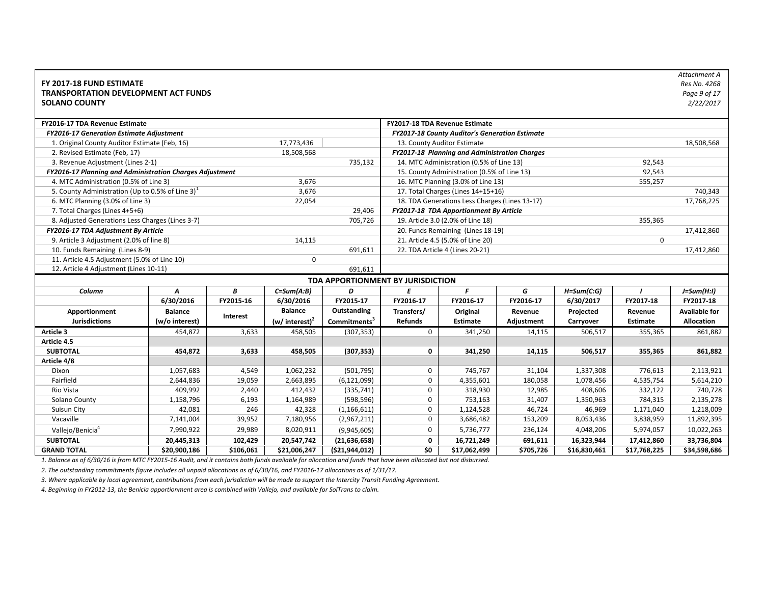| FY 2017-18 FUND ESTIMATE<br><b>TRANSPORTATION DEVELOPMENT ACT FUNDS</b><br><b>SOLANO COUNTY</b> |                |           |                            |                                   |                |                                                |            |                |              | Attachment A<br>Res No. 4268<br>Page 9 of 17<br>2/22/2017 |
|-------------------------------------------------------------------------------------------------|----------------|-----------|----------------------------|-----------------------------------|----------------|------------------------------------------------|------------|----------------|--------------|-----------------------------------------------------------|
| <b>FY2016-17 TDA Revenue Estimate</b>                                                           |                |           |                            |                                   |                | FY2017-18 TDA Revenue Estimate                 |            |                |              |                                                           |
| <b>FY2016-17 Generation Estimate Adjustment</b>                                                 |                |           |                            |                                   |                | FY2017-18 County Auditor's Generation Estimate |            |                |              |                                                           |
| 1. Original County Auditor Estimate (Feb, 16)                                                   |                |           | 17,773,436                 |                                   |                | 13. County Auditor Estimate                    |            |                |              | 18,508,568                                                |
| 2. Revised Estimate (Feb, 17)                                                                   |                |           | 18,508,568                 |                                   |                | FY2017-18 Planning and Administration Charges  |            |                |              |                                                           |
| 3. Revenue Adjustment (Lines 2-1)                                                               |                |           |                            | 735,132                           |                | 14. MTC Administration (0.5% of Line 13)       |            |                | 92,543       |                                                           |
| FY2016-17 Planning and Administration Charges Adjustment                                        |                |           |                            |                                   |                | 15. County Administration (0.5% of Line 13)    |            |                | 92,543       |                                                           |
| 4. MTC Administration (0.5% of Line 3)                                                          |                |           | 3,676                      |                                   |                | 16. MTC Planning (3.0% of Line 13)             |            |                | 555,257      |                                                           |
| 5. County Administration (Up to 0.5% of Line 3) $1$                                             |                |           | 3,676                      |                                   |                | 17. Total Charges (Lines 14+15+16)             |            |                |              | 740,343                                                   |
| 6. MTC Planning (3.0% of Line 3)                                                                |                |           | 22,054                     |                                   |                | 18. TDA Generations Less Charges (Lines 13-17) |            |                |              | 17,768,225                                                |
| 7. Total Charges (Lines 4+5+6)                                                                  |                |           |                            | 29,406                            |                | FY2017-18 TDA Apportionment By Article         |            |                |              |                                                           |
| 8. Adjusted Generations Less Charges (Lines 3-7)                                                |                |           |                            | 705,726                           |                | 19. Article 3.0 (2.0% of Line 18)              |            |                | 355,365      |                                                           |
| FY2016-17 TDA Adjustment By Article                                                             |                |           |                            |                                   |                | 20. Funds Remaining (Lines 18-19)              |            |                |              | 17,412,860                                                |
| 9. Article 3 Adjustment (2.0% of line 8)                                                        |                |           | 14,115                     |                                   |                | 21. Article 4.5 (5.0% of Line 20)              |            |                | $\mathbf 0$  |                                                           |
| 10. Funds Remaining (Lines 8-9)                                                                 |                |           |                            | 691,611                           |                | 22. TDA Article 4 (Lines 20-21)                |            |                |              | 17,412,860                                                |
| 11. Article 4.5 Adjustment (5.0% of Line 10)                                                    |                |           | $\mathbf 0$                |                                   |                |                                                |            |                |              |                                                           |
| 12. Article 4 Adjustment (Lines 10-11)                                                          |                |           |                            | 691,611                           |                |                                                |            |                |              |                                                           |
|                                                                                                 |                |           |                            | TDA APPORTIONMENT BY JURISDICTION |                |                                                |            |                |              |                                                           |
| Column                                                                                          | A              | B         | $C=Sum(A:B)$               | D                                 | E              | F                                              | G          | $H = Sum(C:G)$ |              | $J=Sum(H:1)$                                              |
|                                                                                                 | 6/30/2016      | FY2015-16 | 6/30/2016                  | FY2015-17                         | FY2016-17      | FY2016-17                                      | FY2016-17  | 6/30/2017      | FY2017-18    | FY2017-18                                                 |
| Apportionment                                                                                   | <b>Balance</b> |           | <b>Balance</b>             | Outstanding                       | Transfers/     | Original                                       | Revenue    | Projected      | Revenue      | <b>Available for</b>                                      |
| <b>Jurisdictions</b>                                                                            | (w/o interest) | Interest  | (w/ interest) <sup>2</sup> | Commitments <sup>3</sup>          | <b>Refunds</b> | <b>Estimate</b>                                | Adjustment | Carryover      | Estimate     | <b>Allocation</b>                                         |
| Article 3                                                                                       | 454,872        | 3,633     | 458,505                    | (307, 353)                        | $\mathbf 0$    | 341,250                                        | 14,115     | 506,517        | 355,365      | 861,882                                                   |
| Article 4.5                                                                                     |                |           |                            |                                   |                |                                                |            |                |              |                                                           |
| <b>SUBTOTAL</b>                                                                                 | 454,872        | 3,633     | 458,505                    | (307, 353)                        | $\mathbf 0$    | 341,250                                        | 14,115     | 506,517        | 355,365      | 861,882                                                   |
| Article 4/8                                                                                     |                |           |                            |                                   |                |                                                |            |                |              |                                                           |
| Dixon                                                                                           | 1,057,683      | 4,549     | 1,062,232                  | (501, 795)                        | $\mathbf 0$    | 745,767                                        | 31,104     | 1,337,308      | 776,613      | 2,113,921                                                 |
| Fairfield                                                                                       | 2,644,836      | 19,059    | 2,663,895                  | (6, 121, 099)                     | 0              | 4,355,601                                      | 180,058    | 1,078,456      | 4,535,754    | 5,614,210                                                 |
| Rio Vista                                                                                       | 409,992        | 2,440     | 412,432                    | (335, 741)                        | 0              | 318,930                                        | 12,985     | 408,606        | 332,122      | 740,728                                                   |
| Solano County                                                                                   | 1,158,796      | 6,193     | 1,164,989                  | (598, 596)                        | 0              | 753,163                                        | 31,407     | 1,350,963      | 784,315      | 2,135,278                                                 |
| Suisun City                                                                                     | 42,081         | 246       | 42,328                     | (1, 166, 611)                     | $\mathbf 0$    | 1,124,528                                      | 46,724     | 46,969         | 1,171,040    | 1,218,009                                                 |
| Vacaville                                                                                       | 7,141,004      | 39,952    | 7,180,956                  | (2,967,211)                       | $\mathbf 0$    | 3,686,482                                      | 153,209    | 8,053,436      | 3,838,959    | 11,892,395                                                |
| Vallejo/Benicia <sup>4</sup>                                                                    | 7,990,922      | 29,989    | 8,020,911                  | (9,945,605)                       | $\mathbf 0$    | 5,736,777                                      | 236,124    | 4,048,206      | 5,974,057    | 10,022,263                                                |
| <b>SUBTOTAL</b>                                                                                 | 20,445,313     | 102,429   | 20,547,742                 | (21, 636, 658)                    | 0              | 16,721,249                                     | 691,611    | 16,323,944     | 17,412,860   | 33,736,804                                                |
| <b>GRAND TOTAL</b>                                                                              | \$20,900,186   | \$106,061 | \$21,006,247               | (\$21,944,012)                    | \$0            | \$17,062,499                                   | \$705,726  | \$16,830,461   | \$17,768,225 | \$34,598,686                                              |

*2. The outstanding commitments figure includes all unpaid allocations as of 6/30/16, and FY2016‐17 allocations as of 1/31/17.*

*3. Where applicable by local agreement, contributions from each jurisdiction will be made to support the Intercity Transit Funding Agreement.*

*4. Beginning in FY2012‐13, the Benicia apportionment area is combined with Vallejo, and available for SolTrans to claim.*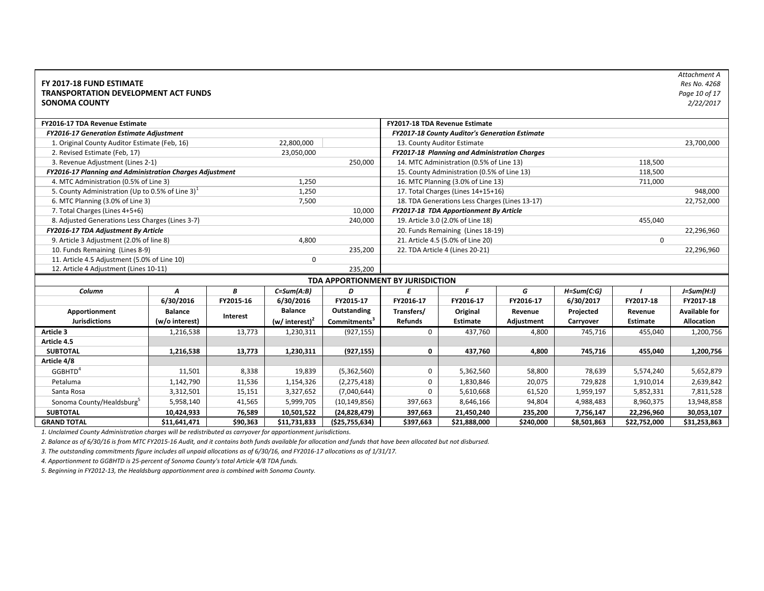| FY 2017-18 FUND ESTIMATE<br><b>TRANSPORTATION DEVELOPMENT ACT FUNDS</b><br><b>SONOMA COUNTY</b> |                |           |                            |                                   |                |                                                |            |                |                 | Attachment A<br>Res No. 4268<br>Page 10 of 17<br>2/22/2017 |
|-------------------------------------------------------------------------------------------------|----------------|-----------|----------------------------|-----------------------------------|----------------|------------------------------------------------|------------|----------------|-----------------|------------------------------------------------------------|
| FY2016-17 TDA Revenue Estimate                                                                  |                |           |                            |                                   |                | FY2017-18 TDA Revenue Estimate                 |            |                |                 |                                                            |
| <b>FY2016-17 Generation Estimate Adjustment</b>                                                 |                |           |                            |                                   |                | FY2017-18 County Auditor's Generation Estimate |            |                |                 |                                                            |
| 1. Original County Auditor Estimate (Feb, 16)                                                   |                |           | 22,800,000                 |                                   |                | 13. County Auditor Estimate                    |            |                |                 | 23,700,000                                                 |
| 2. Revised Estimate (Feb, 17)                                                                   |                |           | 23,050,000                 |                                   |                | FY2017-18 Planning and Administration Charges  |            |                |                 |                                                            |
| 3. Revenue Adjustment (Lines 2-1)                                                               |                |           |                            | 250,000                           |                | 14. MTC Administration (0.5% of Line 13)       |            |                | 118,500         |                                                            |
| FY2016-17 Planning and Administration Charges Adjustment                                        |                |           |                            |                                   |                | 15. County Administration (0.5% of Line 13)    |            |                | 118,500         |                                                            |
| 4. MTC Administration (0.5% of Line 3)                                                          |                |           | 1,250                      |                                   |                | 16. MTC Planning (3.0% of Line 13)             |            |                | 711,000         |                                                            |
| 5. County Administration (Up to 0.5% of Line 3) <sup>1</sup>                                    |                |           | 1,250                      |                                   |                | 17. Total Charges (Lines 14+15+16)             |            |                |                 | 948,000                                                    |
| 6. MTC Planning (3.0% of Line 3)                                                                |                |           | 7,500                      |                                   |                | 18. TDA Generations Less Charges (Lines 13-17) |            |                |                 | 22,752,000                                                 |
| 7. Total Charges (Lines 4+5+6)                                                                  |                |           |                            | 10,000                            |                | FY2017-18 TDA Apportionment By Article         |            |                |                 |                                                            |
| 8. Adjusted Generations Less Charges (Lines 3-7)                                                |                |           |                            | 240,000                           |                | 19. Article 3.0 (2.0% of Line 18)              |            |                | 455,040         |                                                            |
| FY2016-17 TDA Adjustment By Article                                                             |                |           |                            |                                   |                | 20. Funds Remaining (Lines 18-19)              |            |                |                 | 22,296,960                                                 |
| 9. Article 3 Adjustment (2.0% of line 8)                                                        |                |           | 4,800                      |                                   |                | 21. Article 4.5 (5.0% of Line 20)              |            |                | $\Omega$        |                                                            |
| 10. Funds Remaining (Lines 8-9)                                                                 |                |           |                            | 235,200                           |                | 22. TDA Article 4 (Lines 20-21)                |            |                |                 | 22,296,960                                                 |
| 11. Article 4.5 Adjustment (5.0% of Line 10)                                                    |                |           | $\mathbf 0$                |                                   |                |                                                |            |                |                 |                                                            |
| 12. Article 4 Adjustment (Lines 10-11)                                                          |                |           |                            | 235,200                           |                |                                                |            |                |                 |                                                            |
|                                                                                                 |                |           |                            | TDA APPORTIONMENT BY JURISDICTION |                |                                                |            |                |                 |                                                            |
| Column                                                                                          | A              | В         | $C=Sum(A:B)$               | D                                 | E              | F                                              | G          | $H = Sum(C:G)$ |                 | $J=Sum(H:1)$                                               |
|                                                                                                 | 6/30/2016      | FY2015-16 | 6/30/2016                  | FY2015-17                         | FY2016-17      | FY2016-17                                      | FY2016-17  | 6/30/2017      | FY2017-18       | FY2017-18                                                  |
| Apportionment                                                                                   | <b>Balance</b> | Interest  | <b>Balance</b>             | Outstanding                       | Transfers/     | Original                                       | Revenue    | Projected      | Revenue         | <b>Available for</b>                                       |
| <b>Jurisdictions</b>                                                                            | (w/o interest) |           | (w/ interest) <sup>2</sup> | Commitments <sup>3</sup>          | <b>Refunds</b> | Estimate                                       | Adjustment | Carryover      | <b>Estimate</b> | <b>Allocation</b>                                          |
| Article 3                                                                                       | 1,216,538      | 13,773    | 1,230,311                  | (927, 155)                        | $\mathbf 0$    | 437,760                                        | 4,800      | 745,716        | 455,040         | 1,200,756                                                  |
| Article 4.5                                                                                     |                |           |                            |                                   |                |                                                |            |                |                 |                                                            |
| <b>SUBTOTAL</b>                                                                                 | 1,216,538      | 13,773    | 1,230,311                  | (927, 155)                        | $\mathbf 0$    | 437,760                                        | 4,800      | 745,716        | 455,040         | 1,200,756                                                  |
| Article 4/8                                                                                     |                |           |                            |                                   |                |                                                |            |                |                 |                                                            |
| GGBHTD <sup>4</sup>                                                                             | 11,501         | 8,338     | 19,839                     | (5,362,560)                       | 0              | 5,362,560                                      | 58,800     | 78,639         | 5,574,240       | 5,652,879                                                  |
| Petaluma                                                                                        | 1,142,790      | 11,536    | 1,154,326                  | (2, 275, 418)                     | 0              | 1,830,846                                      | 20,075     | 729,828        | 1,910,014       | 2,639,842                                                  |
| Santa Rosa                                                                                      | 3,312,501      | 15,151    | 3,327,652                  | (7,040,644)                       | $\mathbf 0$    | 5,610,668                                      | 61,520     | 1,959,197      | 5,852,331       | 7,811,528                                                  |
| Sonoma County/Healdsburg <sup>5</sup>                                                           | 5,958,140      | 41,565    | 5,999,705                  | (10, 149, 856)                    | 397,663        | 8,646,166                                      | 94,804     | 4,988,483      | 8,960,375       | 13,948,858                                                 |
| <b>SUBTOTAL</b>                                                                                 | 10,424,933     | 76,589    | 10,501,522                 | (24, 828, 479)                    | 397,663        | 21,450,240                                     | 235,200    | 7,756,147      | 22,296,960      | 30,053,107                                                 |
| <b>GRAND TOTAL</b>                                                                              | \$11,641,471   | \$90,363  | \$11,731,833               | ( \$25,755,634)                   | \$397,663      | \$21,888,000                                   | \$240,000  | \$8,501,863    | \$22,752,000    | \$31,253,863                                               |

*2. Balance as of 6/30/16 is from MTC FY2015‐16 Audit, and it contains both funds available for allocation and funds that have been allocated but not disbursed.*

*3. The outstanding commitments figure includes all unpaid allocations as of 6/30/16, and FY2016‐17 allocations as of 1/31/17.*

*4. Apportionment to GGBHTD is 25‐percent of Sonoma County's total Article 4/8 TDA funds.*

*5. Beginning in FY2012‐13, the Healdsburg apportionment area is combined with Sonoma County.*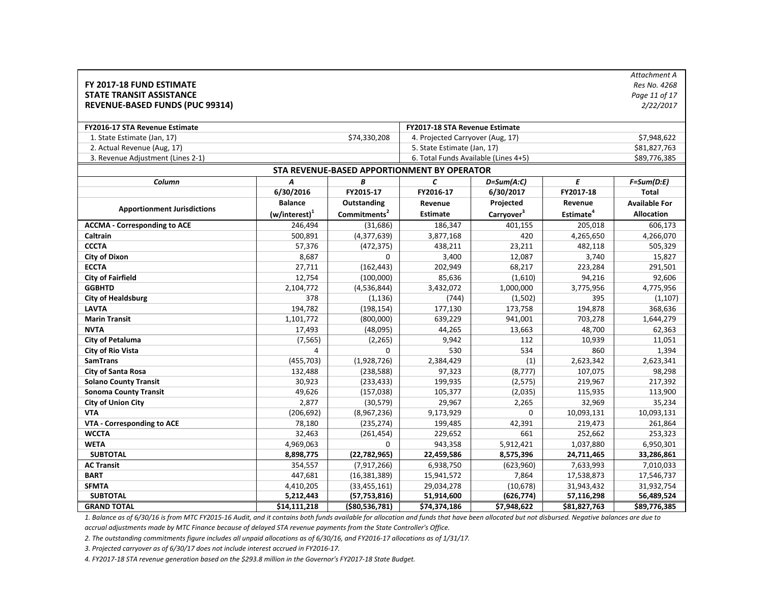| FY 2017-18 FUND ESTIMATE<br><b>STATE TRANSIT ASSISTANCE</b><br><b>REVENUE-BASED FUNDS (PUC 99314)</b> |                  |                          |                                             |                        |                       | Attachment A<br>Res No. 4268<br>Page 11 of 17<br>2/22/2017 |
|-------------------------------------------------------------------------------------------------------|------------------|--------------------------|---------------------------------------------|------------------------|-----------------------|------------------------------------------------------------|
| <b>FY2016-17 STA Revenue Estimate</b>                                                                 |                  |                          | <b>FY2017-18 STA Revenue Estimate</b>       |                        |                       |                                                            |
| 1. State Estimate (Jan, 17)                                                                           |                  | \$74,330,208             | 4. Projected Carryover (Aug, 17)            |                        |                       | \$7,948,622                                                |
| 2. Actual Revenue (Aug, 17)                                                                           |                  |                          | 5. State Estimate (Jan, 17)                 |                        |                       | \$81,827,763                                               |
| 3. Revenue Adjustment (Lines 2-1)                                                                     |                  |                          | 6. Total Funds Available (Lines 4+5)        |                        |                       | \$89,776,385                                               |
|                                                                                                       |                  |                          | STA REVENUE-BASED APPORTIONMENT BY OPERATOR |                        |                       |                                                            |
| Column                                                                                                | $\boldsymbol{A}$ | B                        | $\epsilon$                                  | $D=Sum(A:C)$           | E                     | $F=Sum(D:E)$                                               |
|                                                                                                       | 6/30/2016        | FY2015-17                | FY2016-17                                   | 6/30/2017              | FY2017-18             | <b>Total</b>                                               |
|                                                                                                       | <b>Balance</b>   | <b>Outstanding</b>       | Revenue                                     | Projected              | Revenue               | <b>Available For</b>                                       |
| <b>Apportionment Jurisdictions</b>                                                                    | $(w/interest)^1$ | Commitments <sup>2</sup> | <b>Estimate</b>                             | Carryover <sup>3</sup> | Estimate <sup>4</sup> | <b>Allocation</b>                                          |
| <b>ACCMA - Corresponding to ACE</b>                                                                   | 246,494          | (31, 686)                | 186,347                                     | 401,155                | 205.018               | 606,173                                                    |
| Caltrain                                                                                              | 500,891          | (4,377,639)              | 3,877,168                                   | 420                    | 4,265,650             | 4,266,070                                                  |
| <b>CCCTA</b>                                                                                          | 57,376           | (472, 375)               | 438,211                                     | 23,211                 | 482,118               | 505,329                                                    |
| <b>City of Dixon</b>                                                                                  | 8,687            | 0                        | 3,400                                       | 12,087                 | 3,740                 | 15,827                                                     |
| <b>ECCTA</b>                                                                                          | 27,711           | (162, 443)               | 202,949                                     | 68,217                 | 223,284               | 291,501                                                    |
| <b>City of Fairfield</b>                                                                              | 12,754           | (100,000)                | 85,636                                      | (1,610)                | 94,216                | 92,606                                                     |
| <b>GGBHTD</b>                                                                                         | 2,104,772        | (4,536,844)              | 3,432,072                                   | 1,000,000              | 3,775,956             | 4,775,956                                                  |
| <b>City of Healdsburg</b>                                                                             | 378              | (1, 136)                 | (744)                                       | (1,502)                | 395                   | (1, 107)                                                   |
| <b>LAVTA</b>                                                                                          | 194,782          | (198, 154)               | 177,130                                     | 173,758                | 194,878               | 368,636                                                    |
| <b>Marin Transit</b>                                                                                  | 1,101,772        | (800,000)                | 639,229                                     | 941,001                | 703,278               | 1,644,279                                                  |
| <b>NVTA</b>                                                                                           | 17,493           | (48,095)                 | 44,265                                      | 13,663                 | 48,700                | 62,363                                                     |
| <b>City of Petaluma</b>                                                                               | (7, 565)         | (2, 265)                 | 9,942                                       | 112                    | 10,939                | 11,051                                                     |
| <b>City of Rio Vista</b>                                                                              | 4                | 0                        | 530                                         | 534                    | 860                   | 1,394                                                      |
| <b>SamTrans</b>                                                                                       | (455, 703)       | (1,928,726)              | 2,384,429                                   | (1)                    | 2,623,342             | 2,623,341                                                  |
| <b>City of Santa Rosa</b>                                                                             | 132,488          | (238, 588)               | 97,323                                      | (8, 777)               | 107,075               | 98,298                                                     |
| <b>Solano County Transit</b>                                                                          | 30,923           | (233, 433)               | 199,935                                     | (2, 575)               | 219,967               | 217,392                                                    |
| <b>Sonoma County Transit</b>                                                                          | 49,626           | (157, 038)               | 105,377                                     | (2,035)                | 115,935               | 113,900                                                    |
| <b>City of Union City</b>                                                                             | 2,877            | (30, 579)                | 29,967                                      | 2,265                  | 32,969                | 35,234                                                     |
| <b>VTA</b>                                                                                            | (206, 692)       | (8,967,236)              | 9,173,929                                   | $\Omega$               | 10,093,131            | 10,093,131                                                 |
| <b>VTA - Corresponding to ACE</b>                                                                     | 78,180           | (235, 274)               | 199,485                                     | 42,391                 | 219,473               | 261,864                                                    |
| <b>WCCTA</b>                                                                                          | 32,463           | (261, 454)               | 229,652                                     | 661                    | 252,662               | 253,323                                                    |
| <b>WETA</b>                                                                                           | 4,969,063        | 0                        | 943,358                                     | 5,912,421              | 1,037,880             | 6,950,301                                                  |
| <b>SUBTOTAL</b>                                                                                       | 8,898,775        | (22, 782, 965)           | 22,459,586                                  | 8,575,396              | 24,711,465            | 33,286,861                                                 |
| <b>AC Transit</b>                                                                                     | 354,557          | (7, 917, 266)            | 6,938,750                                   | (623,960)              | 7,633,993             | 7,010,033                                                  |
| <b>BART</b>                                                                                           | 447,681          | (16, 381, 389)           | 15,941,572                                  | 7,864                  | 17,538,873            | 17,546,737                                                 |
| <b>SFMTA</b>                                                                                          | 4,410,205        | (33, 455, 161)           | 29,034,278                                  | (10, 678)              | 31,943,432            | 31,932,754                                                 |
| <b>SUBTOTAL</b>                                                                                       | 5,212,443        | (57, 753, 816)           | 51,914,600                                  | (626, 774)             | 57,116,298            | 56,489,524                                                 |
| <b>GRAND TOTAL</b>                                                                                    | \$14,111,218     | ( \$80,536,781)          | \$74,374,186                                | \$7,948,622            | \$81,827,763          | \$89,776,385                                               |

*accrual adjustments made by MTC Finance because of delayed STA revenue payments from the State Controller's Office.*

*2. The outstanding commitments figure includes all unpaid allocations as of 6/30/16, and FY2016‐17 allocations as of 1/31/17.*

*3. Projected carryover as of 6/30/17 does not include interest accrued in FY2016‐17.* 

*4. FY2017‐18 STA revenue generation based on the \$293.8 million in the Governor's FY2017‐18 State Budget.*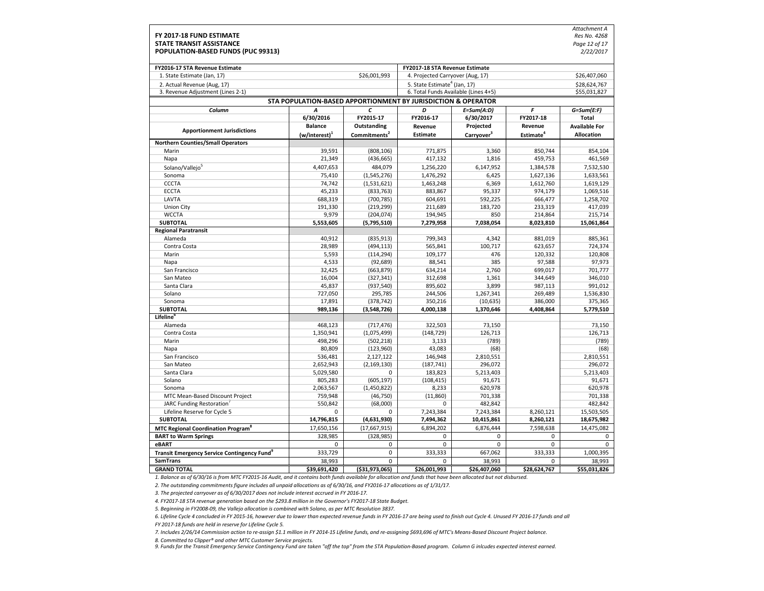|                                                                |                                                               |                          |                                          |                        |                       | Attachment A         |
|----------------------------------------------------------------|---------------------------------------------------------------|--------------------------|------------------------------------------|------------------------|-----------------------|----------------------|
| FY 2017-18 FUND ESTIMATE                                       |                                                               |                          |                                          |                        |                       | Res No. 4268         |
| <b>STATE TRANSIT ASSISTANCE</b>                                |                                                               |                          |                                          |                        |                       | Page 12 of 17        |
| POPULATION-BASED FUNDS (PUC 99313)                             |                                                               |                          |                                          |                        |                       | 2/22/2017            |
|                                                                |                                                               |                          |                                          |                        |                       |                      |
| FY2016-17 STA Revenue Estimate                                 |                                                               |                          | FY2017-18 STA Revenue Estimate           |                        |                       |                      |
| 1. State Estimate (Jan, 17)                                    |                                                               | \$26,001,993             | 4. Projected Carryover (Aug, 17)         |                        |                       | \$26,407,060         |
| 2. Actual Revenue (Aug, 17)                                    |                                                               |                          | 5. State Estimate <sup>4</sup> (Jan. 17) |                        |                       | \$28.624.767         |
| 3. Revenue Adjustment (Lines 2-1)                              |                                                               |                          | 6. Total Funds Available (Lines 4+5)     |                        |                       | \$55,031,827         |
|                                                                | STA POPULATION-BASED APPORTIONMENT BY JURISDICTION & OPERATOR |                          |                                          |                        |                       |                      |
| Column                                                         | Α                                                             | C                        | D                                        | $E = Sum(A:D)$         | F                     | $G=Sum(E:F)$         |
|                                                                | 6/30/2016                                                     | FY2015-17                | FY2016-17                                | 6/30/2017              | FY2017-18             | <b>Total</b>         |
| <b>Apportionment Jurisdictions</b>                             | <b>Balance</b>                                                | Outstanding              | Revenue                                  | Projected              | Revenue               | <b>Available For</b> |
|                                                                | $(w/interest)^{1}$                                            | Commitments <sup>2</sup> | <b>Estimate</b>                          | Carryover <sup>3</sup> | Estimate <sup>4</sup> | <b>Allocation</b>    |
| <b>Northern Counties/Small Operators</b>                       |                                                               |                          |                                          |                        |                       |                      |
| Marin                                                          | 39,591                                                        | (808, 106)               | 771,875                                  | 3,360                  | 850,744               | 854,104              |
| Napa                                                           | 21,349                                                        | (436, 665)               | 417,132                                  | 1,816                  | 459,753               | 461,569              |
| Solano/Vallejo <sup>5</sup>                                    | 4,407,653                                                     | 484,079                  | 1,256,220                                | 6,147,952              | 1,384,578             | 7,532,530            |
| Sonoma                                                         | 75,410                                                        | (1,545,276)              | 1,476,292                                | 6,425                  | 1,627,136             | 1,633,561            |
| <b>CCCTA</b>                                                   | 74,742                                                        | (1,531,621)              | 1,463,248                                | 6,369                  | 1,612,760             | 1,619,129            |
| <b>ECCTA</b>                                                   | 45,233                                                        | (833, 763)               | 883,867                                  | 95,337                 | 974,179               | 1,069,516            |
| LAVTA                                                          | 688,319                                                       | (700, 785)               | 604,691                                  | 592,225                | 666,477               | 1,258,702            |
| <b>Union City</b>                                              | 191,330                                                       | (219, 299)               | 211,689                                  | 183,720                | 233,319               | 417,039              |
| <b>WCCTA</b>                                                   | 9,979                                                         | (204, 074)               | 194,945                                  | 850                    | 214,864               | 215,714              |
| <b>SUBTOTAL</b>                                                | 5,553,605                                                     | (5,795,510)              | 7,279,958                                | 7,038,054              | 8,023,810             | 15,061,864           |
| <b>Regional Paratransit</b>                                    |                                                               |                          |                                          |                        |                       |                      |
| Alameda                                                        | 40,912                                                        | (835, 913)               | 799,343                                  | 4,342                  | 881,019               | 885,361              |
| Contra Costa                                                   | 28,989                                                        | (494, 113)               | 565,841                                  | 100,717                | 623,657               | 724,374              |
| Marin                                                          | 5,593                                                         | (114, 294)               | 109,177                                  | 476                    | 120,332               | 120,808              |
| Napa                                                           | 4,533                                                         | (92, 689)                | 88,541                                   | 385                    | 97,588                | 97,973               |
| San Francisco                                                  | 32,425                                                        | (663, 879)               | 634,214                                  | 2,760                  | 699,017               | 701,777              |
| San Mateo<br>Santa Clara                                       | 16,004<br>45,837                                              | (327, 341)<br>(937, 540) | 312,698<br>895,602                       | 1,361<br>3,899         | 344,649<br>987,113    | 346,010<br>991,012   |
| Solano                                                         | 727,050                                                       | 295,785                  | 244,506                                  | 1,267,341              | 269,489               | 1,536,830            |
| Sonoma                                                         | 17,891                                                        | (378, 742)               | 350,216                                  | (10, 635)              | 386,000               | 375,365              |
| <b>SUBTOTAL</b>                                                | 989,136                                                       | (3,548,726)              | 4,000,138                                | 1,370,646              | 4,408,864             | 5,779,510            |
| <b>Lifeline</b> <sup>b</sup>                                   |                                                               |                          |                                          |                        |                       |                      |
| Alameda                                                        | 468,123                                                       | (717, 476)               | 322,503                                  | 73,150                 |                       | 73,150               |
| Contra Costa                                                   | 1,350,941                                                     | (1,075,499)              | (148, 729)                               | 126,713                |                       | 126,713              |
| Marin                                                          | 498,296                                                       | (502, 218)               | 3,133                                    | (789)                  |                       | (789)                |
| Napa                                                           | 80,809                                                        | (123,960)                | 43,083                                   | (68)                   |                       | (68)                 |
| San Francisco                                                  | 536,481                                                       | 2,127,122                | 146,948                                  | 2,810,551              |                       | 2,810,551            |
| San Mateo                                                      | 2,652,943                                                     | (2, 169, 130)            | (187, 741)                               | 296,072                |                       | 296,072              |
| Santa Clara                                                    | 5,029,580                                                     | 0                        | 183,823                                  | 5,213,403              |                       | 5,213,403            |
| Solano                                                         | 805,283                                                       | (605, 197)               | (108, 415)                               | 91,671                 |                       | 91,671               |
| Sonoma                                                         | 2,063,567                                                     | (1,450,822)              | 8,233                                    | 620,978                |                       | 620,978              |
| MTC Mean-Based Discount Project                                | 759,948                                                       | (46, 750)                | (11,860)                                 | 701,338                |                       | 701,338              |
| <b>JARC Funding Restoration</b>                                | 550,842                                                       | (68,000)                 | 0                                        | 482,842                |                       | 482,842              |
| Lifeline Reserve for Cycle 5                                   | $\Omega$                                                      | $\Omega$                 | 7,243,384                                | 7,243,384              | 8,260,121             | 15,503,505           |
| <b>SUBTOTAL</b>                                                | 14,796,815                                                    | (4,631,930)              | 7,494,362                                | 10,415,861             | 8,260,121             | 18,675,982           |
| <b>MTC Regional Coordination Program</b> <sup>8</sup>          | 17,650,156                                                    | (17,667,915)             | 6,894,202                                | 6,876,444              | 7,598,638             | 14,475,082           |
| <b>BART to Warm Springs</b>                                    | 328,985                                                       | (328, 985)               | $\mathbf 0$                              | $\mathbf 0$            | 0                     | 0                    |
| eBART                                                          | 0                                                             | 0                        | $\mathbf 0$                              | $\mathbf 0$            | $\mathbf 0$           | 0                    |
| <b>Transit Emergency Service Contingency Fund</b> <sup>9</sup> | 333,729                                                       | 0                        | 333,333                                  | 667,062                | 333,333               | 1,000,395            |
| <b>SamTrans</b>                                                | 38,993                                                        | $\Omega$                 | $\Omega$                                 | 38,993                 | $\Omega$              | 38,993               |
| <b>GRAND TOTAL</b>                                             | \$39,691,420                                                  | ( \$31,973,065)          | \$26,001,993                             | \$26,407,060           | \$28,624,767          | \$55,031,826         |

*2. The outstanding commitments figure includes all unpaid allocations as of 6/30/16, and FY2016‐17 allocations as of 1/31/17.*

*3. The projected carryover as of 6/30/2017 does not include interest accrued in FY 2016‐17.*

*4. FY2017‐18 STA revenue generation based on the \$293.8 million in the Governor's FY2017‐18 State Budget.*

*5. Beginning in FY2008‐09, the Vallejo allocation is combined with Solano, as per MTC Resolution 3837.*

*6. Lifeline Cycle 4 concluded in FY 2015‐16, however due to lower than expected revenue funds in FY 2016‐17 are being used to finish out Cycle 4. Unused FY 2016‐17 funds and all FY 2017‐18 funds are held in reserve for Lifeline Cycle 5.*

*7. Includes 2/26/14 Commission action to re‐assign \$1.1 million in FY 2014‐15 Lifeline funds, and re‐assigning \$693,696 of MTC's Means‐Based Discount Project balance.*

*8. Committed to Clipper® and other MTC Customer Service projects.*

*9. Funds for the Transit Emergency Service Contingency Fund are taken "off the top" from the STA Population‐Based program. Column G inlcudes expected interest earned.*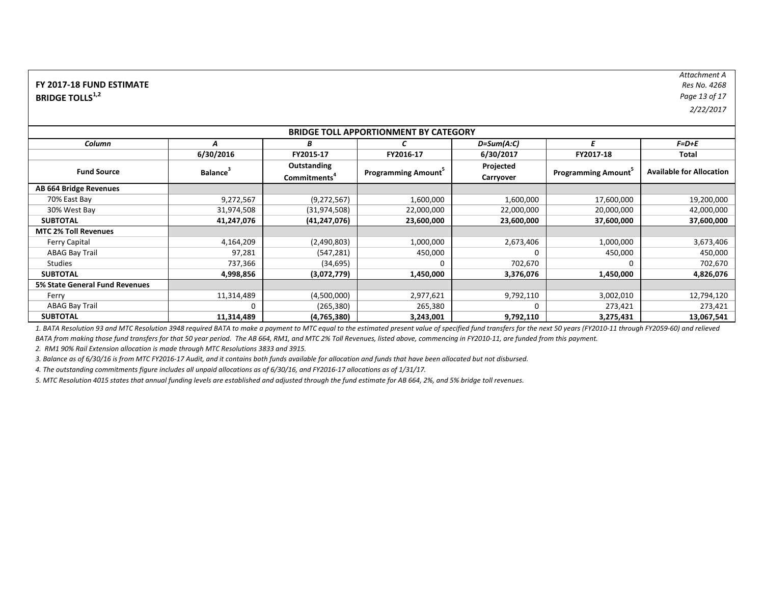| FY 2017-18 FUND ESTIMATE           | Res No. 4268  |
|------------------------------------|---------------|
| <b>BRIDGE TOLLS</b> <sup>1,2</sup> | Page 13 of 17 |

*Attachment A Res No. 4268*Res No. 4268

*2/22/2017*

| <b>BRIDGE TOLL APPORTIONMENT BY CATEGORY</b> |                      |                          |                           |              |                           |                                 |  |  |
|----------------------------------------------|----------------------|--------------------------|---------------------------|--------------|---------------------------|---------------------------------|--|--|
| Column                                       | A                    | B                        |                           | $D=Sum(A:C)$ | F                         | F=D+E                           |  |  |
|                                              | 6/30/2016            | FY2015-17                | FY2016-17                 | 6/30/2017    | FY2017-18                 | Total                           |  |  |
| <b>Fund Source</b>                           |                      | Outstanding              |                           | Projected    | <b>Programming Amount</b> | <b>Available for Allocation</b> |  |  |
|                                              | Balance <sup>3</sup> | Commitments <sup>-</sup> | <b>Programming Amount</b> | Carryover    |                           |                                 |  |  |
| AB 664 Bridge Revenues                       |                      |                          |                           |              |                           |                                 |  |  |
| 70% East Bay                                 | 9,272,567            | (9,272,567)              | 1,600,000                 | 1,600,000    | 17,600,000                | 19,200,000                      |  |  |
| 30% West Bay                                 | 31,974,508           | (31, 974, 508)           | 22,000,000                | 22,000,000   | 20,000,000                | 42,000,000                      |  |  |
| <b>SUBTOTAL</b>                              | 41,247,076           | (41, 247, 076)           | 23,600,000                | 23,600,000   | 37,600,000                | 37,600,000                      |  |  |
| <b>MTC 2% Toll Revenues</b>                  |                      |                          |                           |              |                           |                                 |  |  |
| <b>Ferry Capital</b>                         | 4,164,209            | (2,490,803)              | 1,000,000                 | 2,673,406    | 1,000,000                 | 3,673,406                       |  |  |
| <b>ABAG Bay Trail</b>                        | 97,281               | (547, 281)               | 450,000                   | $\Omega$     | 450,000                   | 450,000                         |  |  |
| <b>Studies</b>                               | 737,366              | (34, 695)                |                           | 702,670      | $\Omega$                  | 702,670                         |  |  |
| <b>SUBTOTAL</b>                              | 4,998,856            | (3,072,779)              | 1,450,000                 | 3,376,076    | 1,450,000                 | 4,826,076                       |  |  |
| 5% State General Fund Revenues               |                      |                          |                           |              |                           |                                 |  |  |
| Ferry                                        | 11,314,489           | (4,500,000)              | 2,977,621                 | 9,792,110    | 3,002,010                 | 12,794,120                      |  |  |
| <b>ABAG Bay Trail</b>                        |                      | (265, 380)               | 265,380                   | $\Omega$     | 273,421                   | 273,421                         |  |  |
| <b>SUBTOTAL</b>                              | 11,314,489           | (4,765,380)              | 3,243,001                 | 9,792,110    | 3,275,431                 | 13,067,541                      |  |  |

*1. BATA Resolution 93 and MTC Resolution 3948 required BATA to make a payment to MTC equal to the estimated present value of specified fund transfers for the next 50 years (FY2010‐11 through FY2059‐60) and relieved BATA from making those fund transfers for that 50 year period. The AB 664, RM1, and MTC 2% Toll Revenues, listed above, commencing in FY2010‐11, are funded from this payment.*

*2. RM1 90% Rail Extension allocation is made through MTC Resolutions 3833 and 3915.*

*3. Balance as of 6/30/16 is from MTC FY2016‐17 Audit, and it contains both funds available for allocation and funds that have been allocated but not disbursed.*

*4. The outstanding commitments figure includes all unpaid allocations as of 6/30/16, and FY2016‐17 allocations as of 1/31/17.*

*5. MTC Resolution 4015 states that annual funding levels are established and adjusted through the fund estimate for AB 664, 2%, and 5% bridge toll revenues.*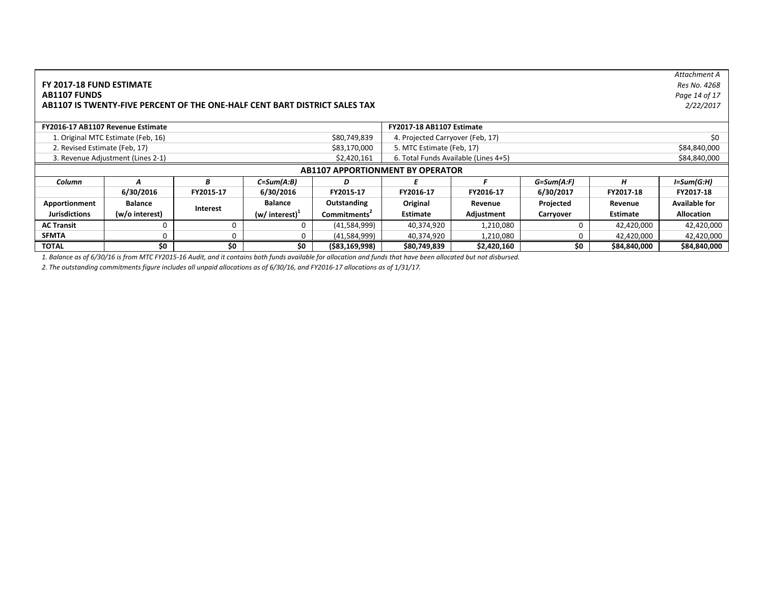|                                                                       |                                                                                          |           |                                             |                          |                                           |                                  |           |              | Attachment A         |
|-----------------------------------------------------------------------|------------------------------------------------------------------------------------------|-----------|---------------------------------------------|--------------------------|-------------------------------------------|----------------------------------|-----------|--------------|----------------------|
| FY 2017-18 FUND ESTIMATE                                              |                                                                                          |           |                                             |                          |                                           |                                  |           |              | Res No. 4268         |
| <b>AB1107 FUNDS</b><br>Page 14 of 17                                  |                                                                                          |           |                                             |                          |                                           |                                  |           |              |                      |
|                                                                       | 2/22/2017<br>AB1107 IS TWENTY-FIVE PERCENT OF THE ONE-HALF CENT BART DISTRICT SALES TAX  |           |                                             |                          |                                           |                                  |           |              |                      |
|                                                                       |                                                                                          |           |                                             |                          |                                           |                                  |           |              |                      |
| FY2016-17 AB1107 Revenue Estimate<br><b>FY2017-18 AB1107 Estimate</b> |                                                                                          |           |                                             |                          |                                           |                                  |           |              |                      |
|                                                                       | \$80,749,839<br>1. Original MTC Estimate (Feb, 16)                                       |           |                                             |                          |                                           | 4. Projected Carryover (Feb, 17) |           |              | \$0                  |
|                                                                       | 2. Revised Estimate (Feb, 17)<br>\$83,170,000                                            |           |                                             |                          | \$84,840,000<br>5. MTC Estimate (Feb, 17) |                                  |           |              |                      |
|                                                                       | 3. Revenue Adjustment (Lines 2-1)<br>6. Total Funds Available (Lines 4+5)<br>\$2,420,161 |           |                                             |                          |                                           |                                  |           | \$84,840,000 |                      |
|                                                                       |                                                                                          |           |                                             |                          | <b>AB1107 APPORTIONMENT BY OPERATOR</b>   |                                  |           |              |                      |
| Column                                                                | $G=Sum(A:F)$<br>н<br>$C=Sum(A:B)$<br>В<br>D                                              |           |                                             |                          |                                           |                                  |           | I=Sum(G:H)   |                      |
|                                                                       | 6/30/2016                                                                                | FY2015-17 | 6/30/2016                                   | FY2015-17                | FY2016-17                                 | FY2016-17                        | 6/30/2017 | FY2017-18    | FY2017-18            |
| Apportionment                                                         | <b>Balance</b>                                                                           |           | <b>Balance</b>                              | Outstanding              | Original                                  | Revenue                          | Projected | Revenue      | <b>Available for</b> |
| <b>Jurisdictions</b>                                                  | (w/o interest)                                                                           | Interest  | $(w/$ interest) <sup><math>\pm</math></sup> | Commitments <sup>2</sup> | Estimate                                  | Adjustment                       | Carryover | Estimate     | <b>Allocation</b>    |
| <b>AC Transit</b>                                                     | $\Omega$                                                                                 |           | 0                                           | (41,584,999)             | 40,374,920                                | 1,210,080                        | 0         | 42,420,000   | 42,420,000           |
| <b>SFMTA</b>                                                          | $\Omega$                                                                                 | $\Omega$  | 0                                           | (41,584,999)             | 40,374,920                                | 1,210,080                        | 0         | 42,420,000   | 42,420,000           |
| <b>TOTAL</b>                                                          | \$0                                                                                      | \$0       | \$0                                         | $($ \$83,169,998)        | \$80,749,839                              | \$2,420,160                      | \$0       | \$84,840,000 | \$84,840,000         |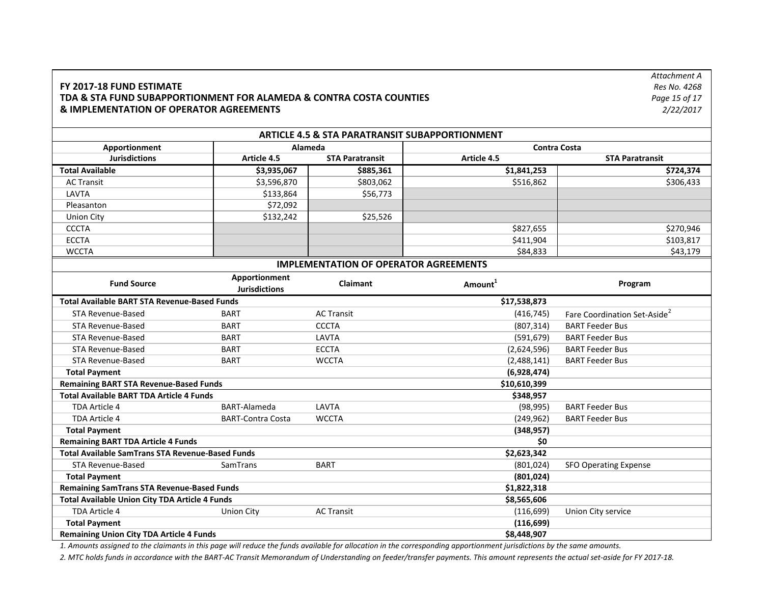### **FY 2017‐18 FUND ESTIMATE TDA & STA FUND SUBAPPORTIONMENT FOR ALAMEDA & CONTRA COSTA COUNTIES & IMPLEMENTATION OF OPERATOR AGREEMENTS**

*Attachment A Res No. 4268 Page 15 of 17 2/22/2017*

|                                                         |                                    | <b>ARTICLE 4.5 &amp; STA PARATRANSIT SUBAPPORTIONMENT</b> |                     |                                          |  |  |
|---------------------------------------------------------|------------------------------------|-----------------------------------------------------------|---------------------|------------------------------------------|--|--|
| Apportionment                                           |                                    | Alameda                                                   |                     | <b>Contra Costa</b>                      |  |  |
| <b>Jurisdictions</b>                                    | Article 4.5                        | <b>STA Paratransit</b>                                    | Article 4.5         | <b>STA Paratransit</b>                   |  |  |
| <b>Total Available</b>                                  | \$3,935,067                        | \$885,361                                                 | \$1,841,253         | \$724,374                                |  |  |
| <b>AC Transit</b>                                       | \$3,596,870                        | \$803,062                                                 | \$516,862           | \$306,433                                |  |  |
| LAVTA                                                   | \$133,864                          | \$56,773                                                  |                     |                                          |  |  |
| Pleasanton                                              | \$72,092                           |                                                           |                     |                                          |  |  |
| <b>Union City</b>                                       | \$132,242                          | \$25,526                                                  |                     |                                          |  |  |
| <b>CCCTA</b>                                            |                                    |                                                           | \$827,655           | \$270,946                                |  |  |
| <b>ECCTA</b>                                            |                                    |                                                           | \$411,904           | \$103,817                                |  |  |
| <b>WCCTA</b>                                            |                                    |                                                           | \$84,833            | \$43,179                                 |  |  |
|                                                         |                                    | <b>IMPLEMENTATION OF OPERATOR AGREEMENTS</b>              |                     |                                          |  |  |
| <b>Fund Source</b>                                      | Apportionment                      | <b>Claimant</b>                                           | Amount <sup>1</sup> | Program                                  |  |  |
|                                                         | <b>Jurisdictions</b>               |                                                           |                     |                                          |  |  |
| <b>Total Available BART STA Revenue-Based Funds</b>     |                                    |                                                           | \$17,538,873        |                                          |  |  |
| STA Revenue-Based                                       | <b>BART</b>                        | <b>AC Transit</b>                                         | (416, 745)          | Fare Coordination Set-Aside <sup>2</sup> |  |  |
| STA Revenue-Based                                       | <b>BART</b>                        | <b>CCCTA</b>                                              | (807, 314)          | <b>BART Feeder Bus</b>                   |  |  |
| STA Revenue-Based                                       | <b>BART</b>                        | LAVTA                                                     | (591, 679)          | <b>BART Feeder Bus</b>                   |  |  |
| STA Revenue-Based                                       | <b>BART</b>                        | <b>ECCTA</b>                                              | (2,624,596)         | <b>BART Feeder Bus</b>                   |  |  |
| STA Revenue-Based                                       | <b>BART</b>                        | <b>WCCTA</b>                                              | (2,488,141)         | <b>BART Feeder Bus</b>                   |  |  |
| <b>Total Payment</b>                                    |                                    |                                                           | (6,928,474)         |                                          |  |  |
| <b>Remaining BART STA Revenue-Based Funds</b>           |                                    |                                                           | \$10,610,399        |                                          |  |  |
| <b>Total Available BART TDA Article 4 Funds</b>         |                                    |                                                           | \$348,957           |                                          |  |  |
| TDA Article 4                                           | BART-Alameda                       | LAVTA                                                     | (98, 995)           | <b>BART Feeder Bus</b>                   |  |  |
| TDA Article 4                                           | <b>BART-Contra Costa</b>           | <b>WCCTA</b>                                              | (249, 962)          | <b>BART Feeder Bus</b>                   |  |  |
| <b>Total Payment</b>                                    |                                    |                                                           | (348, 957)          |                                          |  |  |
| <b>Remaining BART TDA Article 4 Funds</b>               |                                    |                                                           | \$0                 |                                          |  |  |
| <b>Total Available SamTrans STA Revenue-Based Funds</b> |                                    |                                                           | \$2,623,342         |                                          |  |  |
| <b>STA Revenue-Based</b>                                | SamTrans                           | <b>BART</b>                                               | (801, 024)          | <b>SFO Operating Expense</b>             |  |  |
| <b>Total Payment</b>                                    |                                    |                                                           | (801, 024)          |                                          |  |  |
| <b>Remaining SamTrans STA Revenue-Based Funds</b>       |                                    |                                                           | \$1,822,318         |                                          |  |  |
| Total Available Union City TDA Article 4 Funds          |                                    |                                                           | \$8,565,606         |                                          |  |  |
| TDA Article 4                                           | <b>Union City</b>                  | <b>AC Transit</b>                                         | (116, 699)          | Union City service                       |  |  |
|                                                         | <b>Total Payment</b><br>(116, 699) |                                                           |                     |                                          |  |  |
| <b>Remaining Union City TDA Article 4 Funds</b>         |                                    |                                                           | \$8,448,907         |                                          |  |  |

*1. Amounts assigned to the claimants in this page will reduce the funds available for allocation in the corresponding apportionment jurisdictions by the same amounts.*

*2. MTC holds funds in accordance with the BART‐AC Transit Memorandum of Understanding on feeder/transfer payments. This amount represents the actual set‐aside for FY 2017‐18.*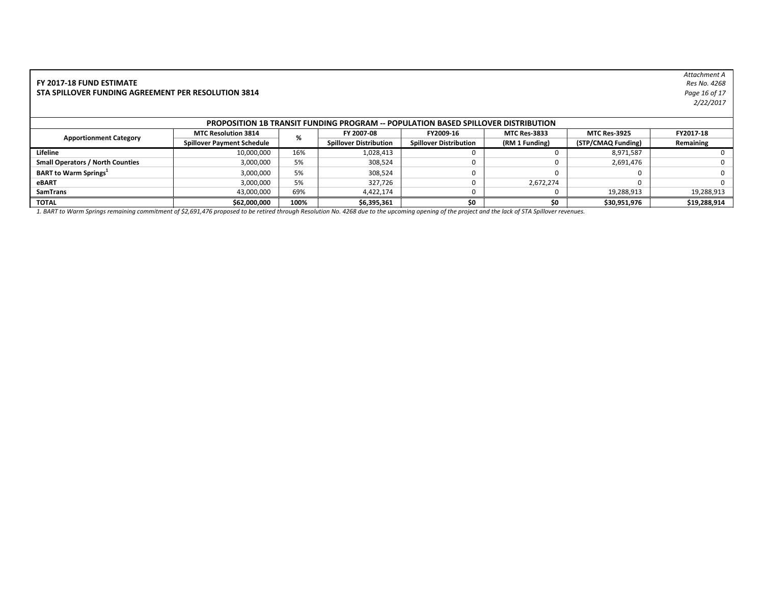#### **FY 2017‐18 FUND ESTIMATE** *Res No. 4268***STA SPILLOVER FUNDING AGREEMENT PER RESOLUTION 3814**

*Attachment A* Res No. 4268 *Page 16 of 17 2/22/2017*

| <b>PROPOSITION 1B TRANSIT FUNDING PROGRAM -- POPULATION BASED SPILLOVER DISTRIBUTION</b> |                                   |      |                               |                               |                     |                     |              |  |
|------------------------------------------------------------------------------------------|-----------------------------------|------|-------------------------------|-------------------------------|---------------------|---------------------|--------------|--|
| <b>Apportionment Category</b>                                                            | <b>MTC Resolution 3814</b>        | %    | FY 2007-08                    | FY2009-16                     | <b>MTC Res-3833</b> | <b>MTC Res-3925</b> | FY2017-18    |  |
|                                                                                          | <b>Spillover Payment Schedule</b> |      | <b>Spillover Distribution</b> | <b>Spillover Distribution</b> | (RM 1 Funding)      | (STP/CMAQ Funding)  | Remaining    |  |
| Lifeline                                                                                 | 10,000,000                        | 16%  | 1,028,413                     |                               |                     | 8,971,587           |              |  |
| <b>Small Operators / North Counties</b>                                                  | 3,000,000                         | 5%   | 308,524                       |                               |                     | 2,691,476           |              |  |
| <b>BART to Warm Springs</b>                                                              | 3,000,000                         | 5%   | 308,524                       |                               |                     |                     |              |  |
| eBART                                                                                    | 3,000,000                         | 5%   | 327.726                       |                               | 2,672,274           |                     |              |  |
| <b>SamTrans</b>                                                                          | 43,000,000                        | 69%  | 4,422,174                     |                               |                     | 19,288,913          | 19,288,913   |  |
| <b>TOTAL</b>                                                                             | \$62,000,000                      | 100% | \$6,395,361                   | \$O                           | \$0                 | \$30,951,976        | \$19,288,914 |  |

*1. BART to Warm Springs remaining commitment of \$2,691,476 proposed to be retired through Resolution No. 4268 due to the upcoming opening of the project and the lack of STA Spillover revenues.*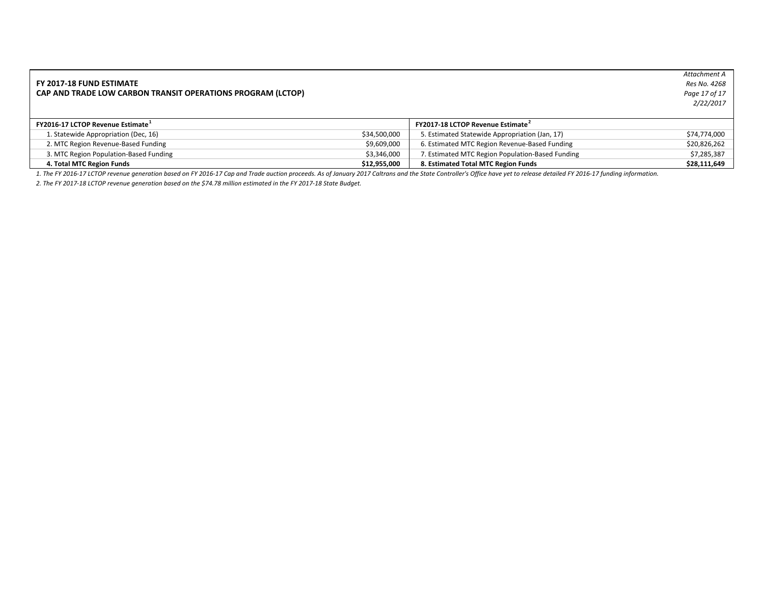#### **FY 2017‐18 FUND ESTIMATE CAP AND TRADE LOW CARBON TRANSIT OPERATIONS PROGRAM (LCTOP)**

*Attachment A Res No. 4268 Page 17 of 17 2/22/2017*

| FY2016-17 LCTOP Revenue Estimate <sup>+</sup> |              | <b>FY2017-18 LCTOP Revenue Estimate</b>          |              |
|-----------------------------------------------|--------------|--------------------------------------------------|--------------|
| 1. Statewide Appropriation (Dec, 16)          | \$34,500,000 | 5. Estimated Statewide Appropriation (Jan, 17)   | \$74,774,000 |
| 2. MTC Region Revenue-Based Funding           | \$9,609,000  | 6. Estimated MTC Region Revenue-Based Funding    | \$20,826,262 |
| 3. MTC Region Population-Based Funding        | \$3.346.000  | 7. Estimated MTC Region Population-Based Funding | \$7,285,387  |
| 4. Total MTC Region Funds                     | \$12,955,000 | 8. Estimated Total MTC Region Funds              | \$28,111,649 |

*1. The FY 2016‐17 LCTOP revenue generation based on FY 2016‐17 Cap and Trade auction proceeds. As of January 2017 Caltrans and the State Controller's Office have yet to release detailed FY 2016‐17 funding information.*

*2. The FY 2017‐18 LCTOP revenue generation based on the \$74.78 million estimated in the FY 2017‐18 State Budget.*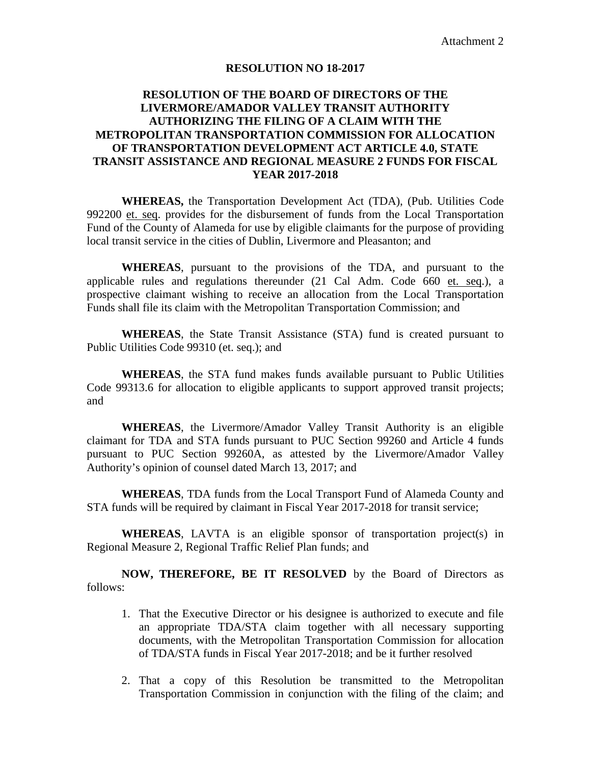## **RESOLUTION NO 18-2017**

## **RESOLUTION OF THE BOARD OF DIRECTORS OF THE LIVERMORE/AMADOR VALLEY TRANSIT AUTHORITY AUTHORIZING THE FILING OF A CLAIM WITH THE METROPOLITAN TRANSPORTATION COMMISSION FOR ALLOCATION OF TRANSPORTATION DEVELOPMENT ACT ARTICLE 4.0, STATE TRANSIT ASSISTANCE AND REGIONAL MEASURE 2 FUNDS FOR FISCAL YEAR 2017-2018**

**WHEREAS,** the Transportation Development Act (TDA), (Pub. Utilities Code 992200 et. seq. provides for the disbursement of funds from the Local Transportation Fund of the County of Alameda for use by eligible claimants for the purpose of providing local transit service in the cities of Dublin, Livermore and Pleasanton; and

**WHEREAS**, pursuant to the provisions of the TDA, and pursuant to the applicable rules and regulations thereunder (21 Cal Adm. Code 660 et. seq.), a prospective claimant wishing to receive an allocation from the Local Transportation Funds shall file its claim with the Metropolitan Transportation Commission; and

**WHEREAS**, the State Transit Assistance (STA) fund is created pursuant to Public Utilities Code 99310 (et. seq.); and

**WHEREAS**, the STA fund makes funds available pursuant to Public Utilities Code 99313.6 for allocation to eligible applicants to support approved transit projects; and

**WHEREAS**, the Livermore/Amador Valley Transit Authority is an eligible claimant for TDA and STA funds pursuant to PUC Section 99260 and Article 4 funds pursuant to PUC Section 99260A, as attested by the Livermore/Amador Valley Authority's opinion of counsel dated March 13, 2017; and

**WHEREAS**, TDA funds from the Local Transport Fund of Alameda County and STA funds will be required by claimant in Fiscal Year 2017-2018 for transit service;

**WHEREAS**, LAVTA is an eligible sponsor of transportation project(s) in Regional Measure 2, Regional Traffic Relief Plan funds; and

**NOW, THEREFORE, BE IT RESOLVED** by the Board of Directors as follows:

- 1. That the Executive Director or his designee is authorized to execute and file an appropriate TDA/STA claim together with all necessary supporting documents, with the Metropolitan Transportation Commission for allocation of TDA/STA funds in Fiscal Year 2017-2018; and be it further resolved
- 2. That a copy of this Resolution be transmitted to the Metropolitan Transportation Commission in conjunction with the filing of the claim; and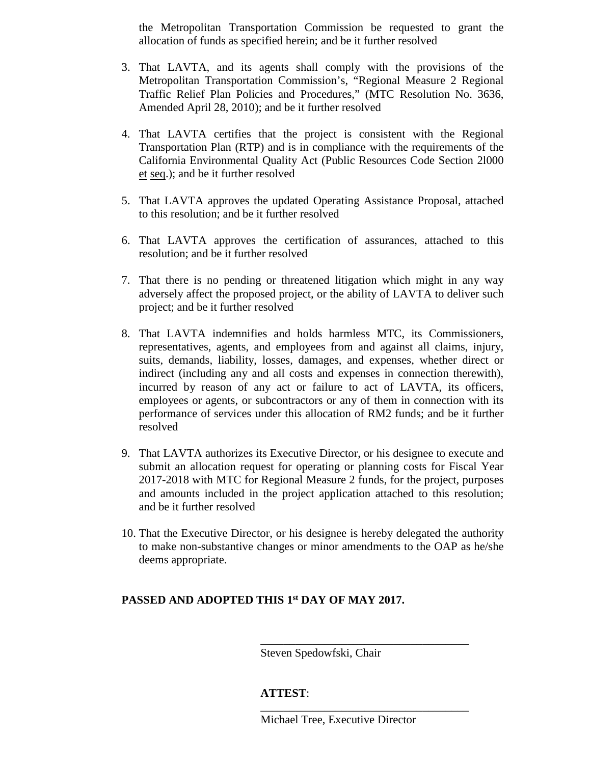the Metropolitan Transportation Commission be requested to grant the allocation of funds as specified herein; and be it further resolved

- 3. That LAVTA, and its agents shall comply with the provisions of the Metropolitan Transportation Commission's, "Regional Measure 2 Regional Traffic Relief Plan Policies and Procedures," (MTC Resolution No. 3636, Amended April 28, 2010); and be it further resolved
- 4. That LAVTA certifies that the project is consistent with the Regional Transportation Plan (RTP) and is in compliance with the requirements of the California Environmental Quality Act (Public Resources Code Section 2l000 et seq.); and be it further resolved
- 5. That LAVTA approves the updated Operating Assistance Proposal, attached to this resolution; and be it further resolved
- 6. That LAVTA approves the certification of assurances, attached to this resolution; and be it further resolved
- 7. That there is no pending or threatened litigation which might in any way adversely affect the proposed project, or the ability of LAVTA to deliver such project; and be it further resolved
- 8. That LAVTA indemnifies and holds harmless MTC, its Commissioners, representatives, agents, and employees from and against all claims, injury, suits, demands, liability, losses, damages, and expenses, whether direct or indirect (including any and all costs and expenses in connection therewith), incurred by reason of any act or failure to act of LAVTA, its officers, employees or agents, or subcontractors or any of them in connection with its performance of services under this allocation of RM2 funds; and be it further resolved
- 9. That LAVTA authorizes its Executive Director, or his designee to execute and submit an allocation request for operating or planning costs for Fiscal Year 2017-2018 with MTC for Regional Measure 2 funds, for the project, purposes and amounts included in the project application attached to this resolution; and be it further resolved
- 10. That the Executive Director, or his designee is hereby delegated the authority to make non-substantive changes or minor amendments to the OAP as he/she deems appropriate.

## **PASSED AND ADOPTED THIS 1st DAY OF MAY 2017.**

Steven Spedowfski, Chair

## **ATTEST**:

\_\_\_\_\_\_\_\_\_\_\_\_\_\_\_\_\_\_\_\_\_\_\_\_\_\_\_\_\_\_\_\_\_\_\_\_

\_\_\_\_\_\_\_\_\_\_\_\_\_\_\_\_\_\_\_\_\_\_\_\_\_\_\_\_\_\_\_\_\_\_\_\_